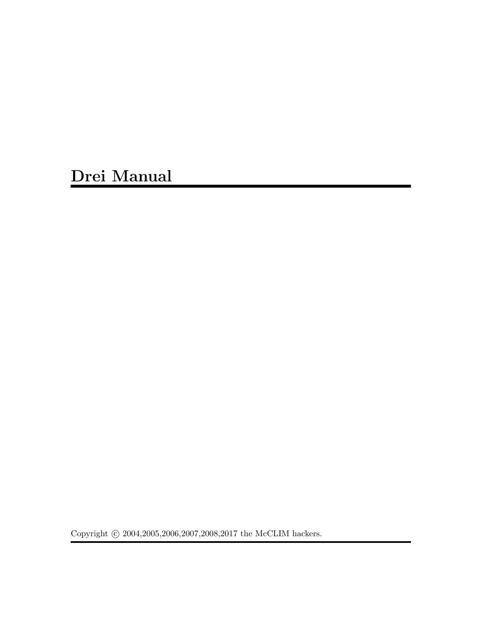Drei Manual

Copyright  $\odot$  2004,2005,2006,2007,2008,2017 the McCLIM hackers.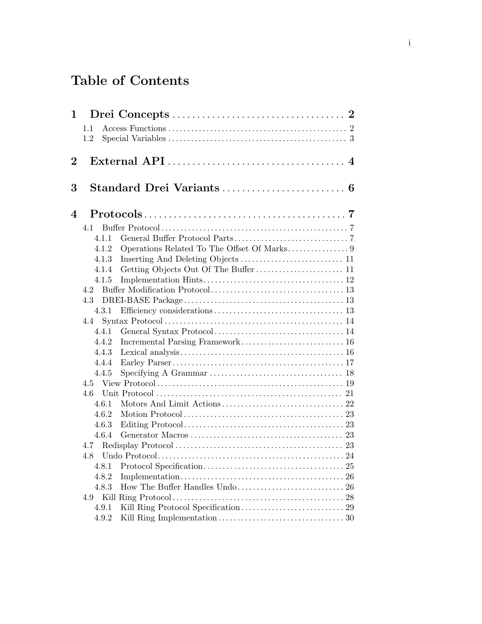# Table of Contents

| 1              |                |                                                                                                        |
|----------------|----------------|--------------------------------------------------------------------------------------------------------|
|                | 1.1            |                                                                                                        |
|                | 1.2            |                                                                                                        |
|                |                |                                                                                                        |
| $\overline{2}$ |                | $\overline{4}$                                                                                         |
|                |                |                                                                                                        |
| 3              |                | Standard Drei Variants  6                                                                              |
|                |                |                                                                                                        |
| 4              |                | $Protocols \ldots \ldots \ldots \ldots \ldots \ldots \ldots \ldots \ldots \ldots \ldots \ldots \ldots$ |
|                |                |                                                                                                        |
|                | 4.1.1          |                                                                                                        |
|                | 4.1.2          |                                                                                                        |
|                | 4.1.3          |                                                                                                        |
|                | 4.1.4          |                                                                                                        |
|                | 4.1.5          |                                                                                                        |
|                | 4.2            |                                                                                                        |
|                | 4.3            |                                                                                                        |
|                | 4.3.1          |                                                                                                        |
|                | 4.4            |                                                                                                        |
|                | 4.4.1          |                                                                                                        |
|                | 4.4.2          |                                                                                                        |
|                | 4.4.3          |                                                                                                        |
|                | 4.4.4          |                                                                                                        |
|                | 4.4.5          |                                                                                                        |
|                |                |                                                                                                        |
|                | 4.6            |                                                                                                        |
|                | 4.6.1          |                                                                                                        |
|                | 4.6.2          |                                                                                                        |
|                | 4.6.3          |                                                                                                        |
|                | 4.6.4          |                                                                                                        |
|                | 4.7            |                                                                                                        |
|                | 4.8            |                                                                                                        |
|                | 4.8.1          |                                                                                                        |
|                | 4.8.2<br>4.8.3 |                                                                                                        |
|                | 4.9            |                                                                                                        |
|                | 4.9.1          |                                                                                                        |
|                | 4.9.2          |                                                                                                        |
|                |                |                                                                                                        |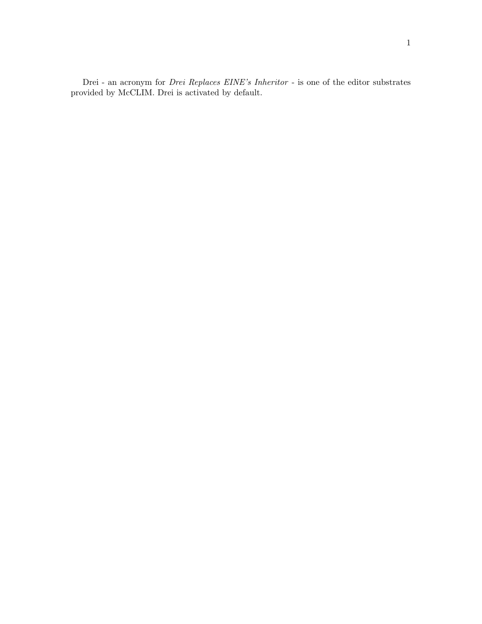<span id="page-3-0"></span>Drei - an acronym for Drei Replaces EINE's Inheritor - is one of the editor substrates provided by McCLIM. Drei is activated by default.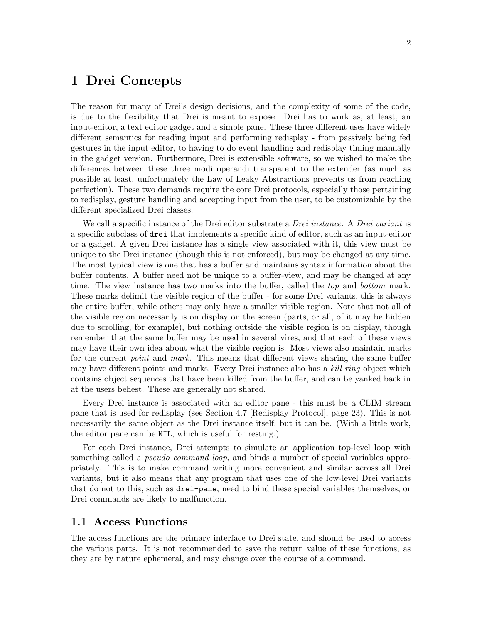## <span id="page-4-0"></span>1 Drei Concepts

The reason for many of Drei's design decisions, and the complexity of some of the code, is due to the flexibility that Drei is meant to expose. Drei has to work as, at least, an input-editor, a text editor gadget and a simple pane. These three different uses have widely different semantics for reading input and performing redisplay - from passively being fed gestures in the input editor, to having to do event handling and redisplay timing manually in the gadget version. Furthermore, Drei is extensible software, so we wished to make the differences between these three modi operandi transparent to the extender (as much as possible at least, unfortunately the Law of Leaky Abstractions prevents us from reaching perfection). These two demands require the core Drei protocols, especially those pertaining to redisplay, gesture handling and accepting input from the user, to be customizable by the different specialized Drei classes.

We call a specific instance of the Drei editor substrate a *Drei instance*. A *Drei variant* is a specific subclass of drei that implements a specific kind of editor, such as an input-editor or a gadget. A given Drei instance has a single view associated with it, this view must be unique to the Drei instance (though this is not enforced), but may be changed at any time. The most typical view is one that has a buffer and maintains syntax information about the buffer contents. A buffer need not be unique to a buffer-view, and may be changed at any time. The view instance has two marks into the buffer, called the *top* and *bottom* mark. These marks delimit the visible region of the buffer - for some Drei variants, this is always the entire buffer, while others may only have a smaller visible region. Note that not all of the visible region necessarily is on display on the screen (parts, or all, of it may be hidden due to scrolling, for example), but nothing outside the visible region is on display, though remember that the same buffer may be used in several vires, and that each of these views may have their own idea about what the visible region is. Most views also maintain marks for the current *point* and *mark*. This means that different views sharing the same buffer may have different points and marks. Every Drei instance also has a kill ring object which contains object sequences that have been killed from the buffer, and can be yanked back in at the users behest. These are generally not shared.

Every Drei instance is associated with an editor pane - this must be a CLIM stream pane that is used for redisplay (see [Section 4.7 \[Redisplay Protocol\], page 23](#page-25-1)). This is not necessarily the same object as the Drei instance itself, but it can be. (With a little work, the editor pane can be NIL, which is useful for resting.)

For each Drei instance, Drei attempts to simulate an application top-level loop with something called a *pseudo command loop*, and binds a number of special variables appropriately. This is to make command writing more convenient and similar across all Drei variants, but it also means that any program that uses one of the low-level Drei variants that do not to this, such as drei-pane, need to bind these special variables themselves, or Drei commands are likely to malfunction.

### <span id="page-4-1"></span>1.1 Access Functions

The access functions are the primary interface to Drei state, and should be used to access the various parts. It is not recommended to save the return value of these functions, as they are by nature ephemeral, and may change over the course of a command.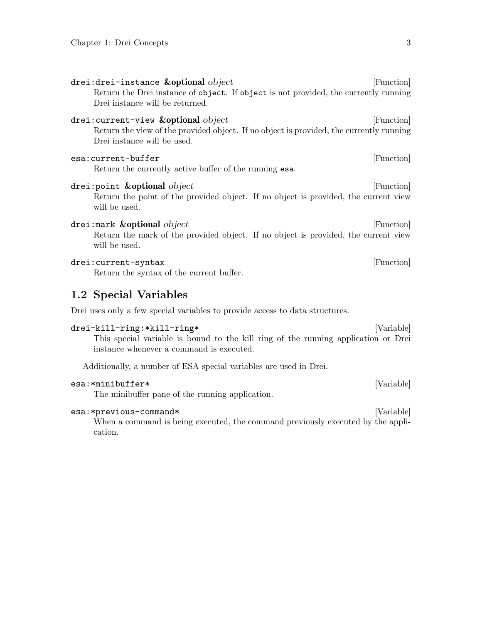<span id="page-5-0"></span>

| drei:drei-instance $\&$ opt $\overline{\text{ional}}$ $object$<br>Return the Drei instance of object. If object is not provided, the currently running<br>Drei instance will be returned. | [Function] |
|-------------------------------------------------------------------------------------------------------------------------------------------------------------------------------------------|------------|
| drei:current-view $\&$ optional $object$<br>Return the view of the provided object. If no object is provided, the currently running<br>Drei instance will be used.                        | [Function] |
| esa:current-buffer<br>Return the currently active buffer of the running esa.                                                                                                              | [Function] |
| $d$ rei:point $\&$ optional $object$<br>Return the point of the provided object. If no object is provided, the current view<br>will be used.                                              | [Function] |
| drei:mark $\&$ optional $object$<br>Return the mark of the provided object. If no object is provided, the current view<br>will be used.                                                   | [Function] |
| drei: current-syntax<br>Return the syntax of the current buffer.                                                                                                                          | [Function] |
| 1.2 Special Variables                                                                                                                                                                     |            |
| Drei uses only a few special variables to provide access to data structures.                                                                                                              |            |
| drei-kill-ring:*kill-ring*<br>This special variable is bound to the kill ring of the running application or Drei<br>instance whenever a command is executed.                              | [Variable] |
| Additionally, a number of ESA special variables are used in Drei.                                                                                                                         |            |
| esa:*minibuffer*<br>The minibuffer pane of the running application.                                                                                                                       | [Variable] |

esa:\*previous-command\* [Variable]

When a command is being executed, the command previously executed by the application.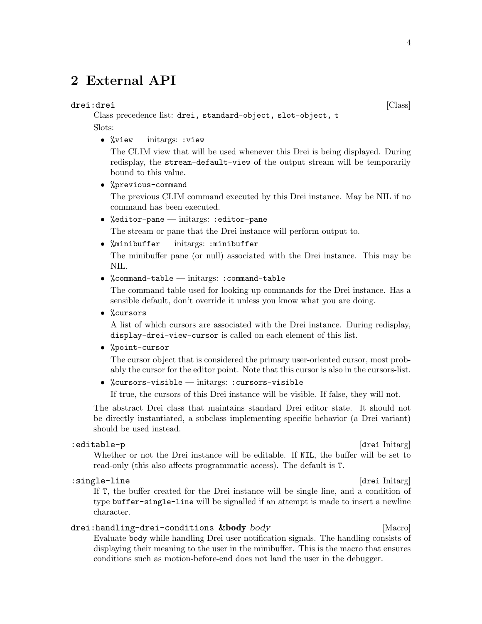# <span id="page-6-0"></span>2 External API

#### drei:drei  $[\text{Class}]$

Class precedence list: drei, standard-object, slot-object, t Slots:

• % view  $-\text{initargs: view}$ 

The CLIM view that will be used whenever this Drei is being displayed. During redisplay, the stream-default-view of the output stream will be temporarily bound to this value.

• %previous-command

The previous CLIM command executed by this Drei instance. May be NIL if no command has been executed.

- %editor-pane initargs: :editor-pane The stream or pane that the Drei instance will perform output to.
- %minibuffer  $-$  initargs: :minibuffer

The minibuffer pane (or null) associated with the Drei instance. This may be NIL.

• %command-table — initargs: : command-table

The command table used for looking up commands for the Drei instance. Has a sensible default, don't override it unless you know what you are doing.

• %cursors

A list of which cursors are associated with the Drei instance. During redisplay, display-drei-view-cursor is called on each element of this list.

• %point-cursor

The cursor object that is considered the primary user-oriented cursor, most probably the cursor for the editor point. Note that this cursor is also in the cursors-list.

• %cursors-visible — initargs: :cursors-visible

If true, the cursors of this Drei instance will be visible. If false, they will not.

The abstract Drei class that maintains standard Drei editor state. It should not be directly instantiated, a subclass implementing specific behavior (a Drei variant) should be used instead.

#### :editable-p [drei Initarg]

Whether or not the Drei instance will be editable. If NIL, the buffer will be set to read-only (this also affects programmatic access). The default is T.

:single-line [drei Initarg] If T, the buffer created for the Drei instance will be single line, and a condition of type buffer-single-line will be signalled if an attempt is made to insert a newline character.

#### drei:handling-drei-conditions &body body [Macro]

Evaluate body while handling Drei user notification signals. The handling consists of displaying their meaning to the user in the minibuffer. This is the macro that ensures conditions such as motion-before-end does not land the user in the debugger.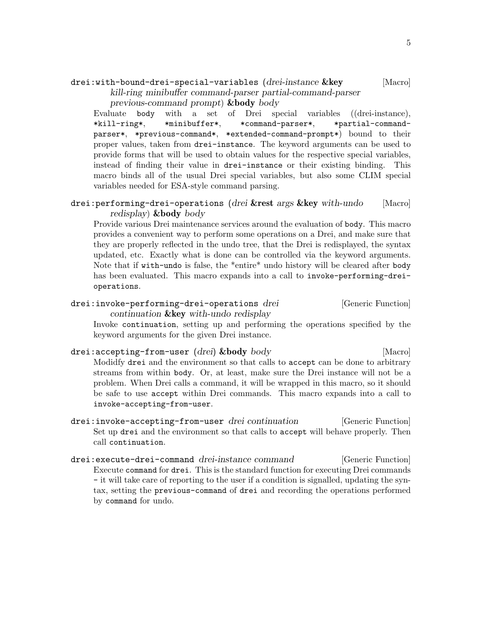### <span id="page-7-0"></span> $\text{drei:with-bound-drei-special-variables}$  (drei-instance  $\&\text{key}$  [Macro]

kill-ring minibuffer command-parser partial-command-parser previous-command prompt) &body body

Evaluate body with a set of Drei special variables ((drei-instance), \*kill-ring\*, \*minibuffer\*, \*command-parser\*, \*partial-commandparser\*, \*previous-command\*, \*extended-command-prompt\*) bound to their proper values, taken from drei-instance. The keyword arguments can be used to provide forms that will be used to obtain values for the respective special variables, instead of finding their value in drei-instance or their existing binding. This macro binds all of the usual Drei special variables, but also some CLIM special variables needed for ESA-style command parsing.

#### drei: performing-drei-operations (drei &rest args & key with-undo [Macro] redisplay) &body body

Provide various Drei maintenance services around the evaluation of body. This macro provides a convenient way to perform some operations on a Drei, and make sure that they are properly reflected in the undo tree, that the Drei is redisplayed, the syntax updated, etc. Exactly what is done can be controlled via the keyword arguments. Note that if with-undo is false, the \*entire\* undo history will be cleared after body has been evaluated. This macro expands into a call to invoke-performing-dreioperations.

#### drei:invoke-performing-drei-operations drei [Generic Function] continuation &key with-undo redisplay

Invoke continuation, setting up and performing the operations specified by the keyword arguments for the given Drei instance.

#### drei:accepting-from-user (drei) &body body [Macro]

Modidfy drei and the environment so that calls to accept can be done to arbitrary streams from within body. Or, at least, make sure the Drei instance will not be a problem. When Drei calls a command, it will be wrapped in this macro, so it should be safe to use accept within Drei commands. This macro expands into a call to invoke-accepting-from-user.

- drei:invoke-accepting-from-user drei continuation [Generic Function] Set up drei and the environment so that calls to accept will behave properly. Then call continuation.
- drei:execute-drei-command drei-instance command [Generic Function] Execute command for drei. This is the standard function for executing Drei commands - it will take care of reporting to the user if a condition is signalled, updating the syntax, setting the previous-command of drei and recording the operations performed by command for undo.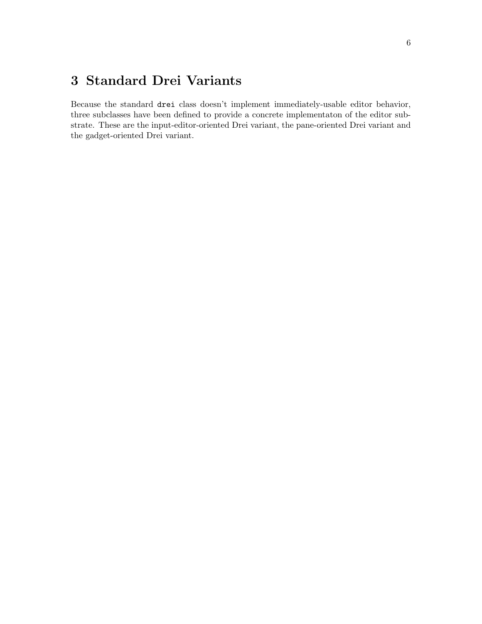# <span id="page-8-0"></span>3 Standard Drei Variants

Because the standard drei class doesn't implement immediately-usable editor behavior, three subclasses have been defined to provide a concrete implementaton of the editor substrate. These are the input-editor-oriented Drei variant, the pane-oriented Drei variant and the gadget-oriented Drei variant.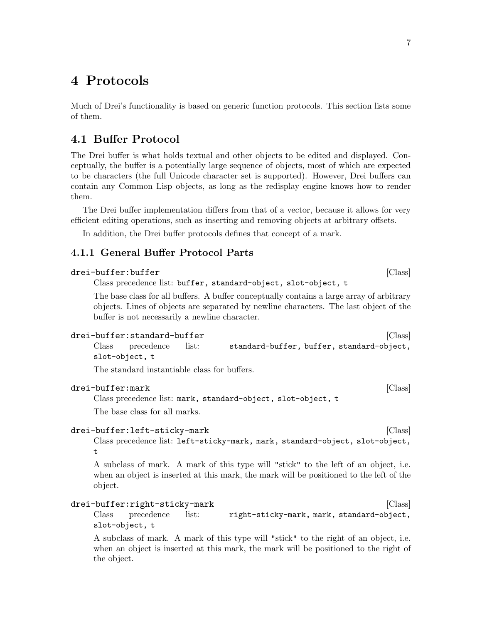# <span id="page-9-0"></span>4 Protocols

Much of Drei's functionality is based on generic function protocols. This section lists some of them.

### 4.1 Buffer Protocol

The Drei buffer is what holds textual and other objects to be edited and displayed. Conceptually, the buffer is a potentially large sequence of objects, most of which are expected to be characters (the full Unicode character set is supported). However, Drei buffers can contain any Common Lisp objects, as long as the redisplay engine knows how to render them.

The Drei buffer implementation differs from that of a vector, because it allows for very efficient editing operations, such as inserting and removing objects at arbitrary offsets.

In addition, the Drei buffer protocols defines that concept of a mark.

### 4.1.1 General Buffer Protocol Parts

| drei-buffer:buffer | ICIassi |  |
|--------------------|---------|--|
|                    |         |  |

Class precedence list: buffer, standard-object, slot-object, t

The base class for all buffers. A buffer conceptually contains a large array of arbitrary objects. Lines of objects are separated by newline characters. The last object of the buffer is not necessarily a newline character.

| drei-buffer:standard-buffer |                                           | [Class] |
|-----------------------------|-------------------------------------------|---------|
| Class precedence list:      | standard-buffer, buffer, standard-object, |         |
| slot-object, t              |                                           |         |

The standard instantiable class for buffers.

#### drei-buffer:mark [Class]

t

Class precedence list: mark, standard-object, slot-object, t

The base class for all marks.

#### drei-buffer:left-sticky-mark is a set of the set of class  $[\text{Class}]$

Class precedence list: left-sticky-mark, mark, standard-object, slot-object,

A subclass of mark. A mark of this type will "stick" to the left of an object, i.e. when an object is inserted at this mark, the mark will be positioned to the left of the object.

```
drei-buffer:right-sticky-mark [Class]
   Class precedence list: right-sticky-mark, mark, standard-object,
   slot-object, t
```
A subclass of mark. A mark of this type will "stick" to the right of an object, i.e. when an object is inserted at this mark, the mark will be positioned to the right of the object.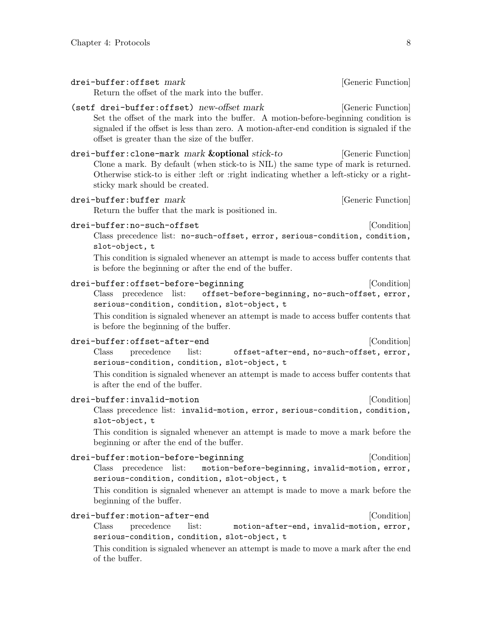<span id="page-10-0"></span>

| drei-buffer: offset mark<br>Return the offset of the mark into the buffer.                                                                                                                                                                                                                       | [Generic Function] |
|--------------------------------------------------------------------------------------------------------------------------------------------------------------------------------------------------------------------------------------------------------------------------------------------------|--------------------|
| (setf drei-buffer:offset) new-offset mark<br>Set the offset of the mark into the buffer. A motion-before-beginning condition is<br>signaled if the offset is less than zero. A motion-after-end condition is signaled if the<br>offset is greater than the size of the buffer.                   | [Generic Function] |
| drei-buffer: clone-mark mark & optional stick-to<br>Clone a mark. By default (when stick-to is NIL) the same type of mark is returned.<br>Otherwise stick-to is either : left or : right indicating whether a left-sticky or a right-<br>sticky mark should be created.                          | [Generic Function] |
| drei-buffer:buffer mark<br>Return the buffer that the mark is positioned in.                                                                                                                                                                                                                     | [Generic Function] |
| drei-buffer:no-such-offset<br>Class precedence list: no-such-offset, error, serious-condition, condition,<br>slot-object, t<br>This condition is signaled whenever an attempt is made to access buffer contents that<br>is before the beginning or after the end of the buffer.                  | [Condition]        |
| drei-buffer:offset-before-beginning<br>Class precedence list: offset-before-beginning, no-such-offset, error,<br>serious-condition, condition, slot-object, t<br>This condition is signaled whenever an attempt is made to access buffer contents that<br>is before the beginning of the buffer. | [Condition]        |
| drei-buffer:offset-after-end<br>$\text{Class}$<br>precedence list: offset-after-end, no-such-offset, error,<br>serious-condition, condition, slot-object, t<br>This condition is signaled whenever an attempt is made to access buffer contents that<br>is after the end of the buffer.          | [Condition]        |
| drei-buffer:invalid-motion<br>Class precedence list: invalid-motion, error, serious-condition, condition,<br>slot-object, t<br>This condition is signaled whenever an attempt is made to move a mark before the<br>beginning or after the end of the buffer.                                     | [Condition]        |
| drei-buffer:motion-before-beginning<br>Class precedence list:<br>motion-before-beginning, invalid-motion, error,<br>serious-condition, condition, slot-object, t<br>This condition is signaled whenever an attempt is made to move a mark before the<br>beginning of the buffer.                 | [Condition]        |
| drei-buffer:motion-after-end                                                                                                                                                                                                                                                                     | [Condition]        |

Class precedence list: motion-after-end, invalid-motion, error, serious-condition, condition, slot-object, t

This condition is signaled whenever an attempt is made to move a mark after the end of the buffer.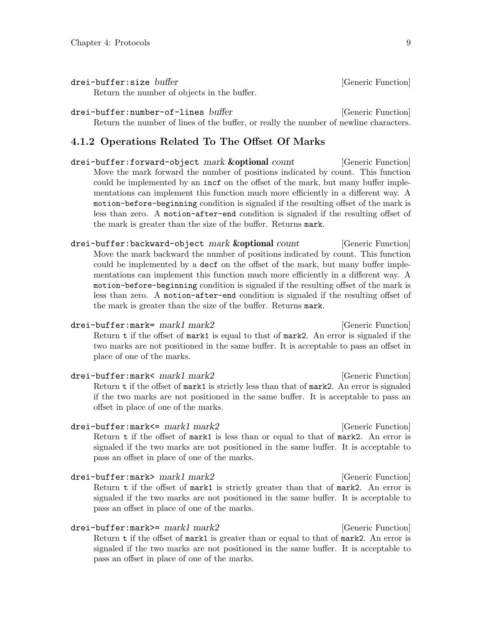<span id="page-11-0"></span>drei-buffer:size buffer in the contraction of the contraction of  $[Generic Function]$ 

Return the number of objects in the buffer.

drei-buffer:number-of-lines buffer internation [Generic Function] Return the number of lines of the buffer, or really the number of newline characters.

#### 4.1.2 Operations Related To The Offset Of Marks

drei-buffer:forward-object mark **&optional** count [Generic Function] Move the mark forward the number of positions indicated by count. This function could be implemented by an incf on the offset of the mark, but many buffer implementations can implement this function much more efficiently in a different way. A motion-before-beginning condition is signaled if the resulting offset of the mark is less than zero. A motion-after-end condition is signaled if the resulting offset of the mark is greater than the size of the buffer. Returns mark.

drei-buffer:backward-object mark &optional count [Generic Function] Move the mark backward the number of positions indicated by count. This function could be implemented by a decf on the offset of the mark, but many buffer implementations can implement this function much more efficiently in a different way. A motion-before-beginning condition is signaled if the resulting offset of the mark is less than zero. A motion-after-end condition is signaled if the resulting offset of the mark is greater than the size of the buffer. Returns mark.

drei-buffer:mark= mark1 mark2 [Generic Function] Return t if the offset of mark1 is equal to that of mark2. An error is signaled if the two marks are not positioned in the same buffer. It is acceptable to pass an offset in place of one of the marks.

drei-buffer:mark< mark1 mark2 [Generic Function] Return t if the offset of mark1 is strictly less than that of mark2. An error is signaled if the two marks are not positioned in the same buffer. It is acceptable to pass an offset in place of one of the marks.

drei-buffer:mark<= mark1 mark2 [Generic Function] Return t if the offset of mark1 is less than or equal to that of mark2. An error is signaled if the two marks are not positioned in the same buffer. It is acceptable to pass an offset in place of one of the marks.

drei-buffer:mark> mark1 mark2 [Generic Function] Return t if the offset of mark1 is strictly greater than that of mark2. An error is signaled if the two marks are not positioned in the same buffer. It is acceptable to pass an offset in place of one of the marks.

drei-buffer:mark>= mark1 mark2 [Generic Function] Return t if the offset of mark1 is greater than or equal to that of mark2. An error is signaled if the two marks are not positioned in the same buffer. It is acceptable to pass an offset in place of one of the marks.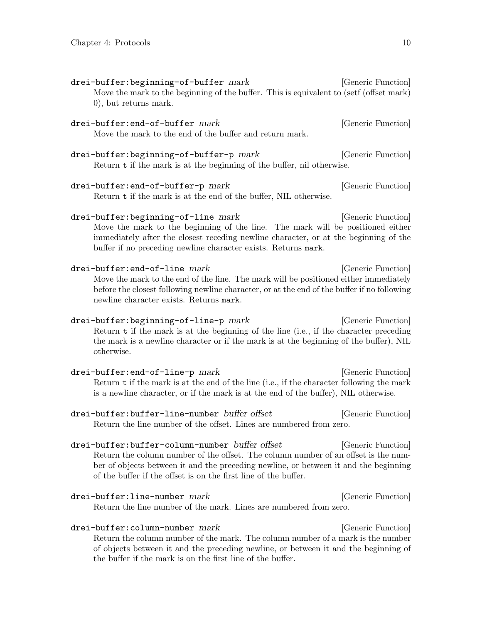<span id="page-12-0"></span>

| drei-buffer:beginning-of-buffer mark<br>Move the mark to the beginning of the buffer. This is equivalent to (setf (offset mark)<br>0), but returns mark.                                                                                                                                        | [Generic Function] |
|-------------------------------------------------------------------------------------------------------------------------------------------------------------------------------------------------------------------------------------------------------------------------------------------------|--------------------|
| drei-buffer:end-of-buffer mark<br>Move the mark to the end of the buffer and return mark.                                                                                                                                                                                                       | [Generic Function] |
| $d$ rei-buffer:beginning-of-buffer-p $mark$<br>Return t if the mark is at the beginning of the buffer, nil otherwise.                                                                                                                                                                           | [Generic Function] |
| drei-buffer:end-of-buffer-p mark<br>Return t if the mark is at the end of the buffer, NIL otherwise.                                                                                                                                                                                            | [Generic Function] |
| drei-buffer:beginning-of-line mark<br>Move the mark to the beginning of the line. The mark will be positioned either<br>immediately after the closest receding newline character, or at the beginning of the<br>buffer if no preceding newline character exists. Returns mark.                  | [Generic Function] |
| drei-buffer:end-of-line mark<br>Move the mark to the end of the line. The mark will be positioned either immediately<br>before the closest following newline character, or at the end of the buffer if no following<br>newline character exists. Returns mark.                                  | [Generic Function] |
| drei-buffer:beginning-of-line-p mark<br>Return t if the mark is at the beginning of the line (i.e., if the character preceding<br>the mark is a newline character or if the mark is at the beginning of the buffer), NIL<br>otherwise.                                                          | [Generic Function] |
| $drei-buffer:end-of-line-p mark$<br>Return t if the mark is at the end of the line (i.e., if the character following the mark<br>is a newline character, or if the mark is at the end of the buffer), NIL otherwise.                                                                            | [Generic Function] |
| drei-buffer:buffer-line-number buffer offset<br>Return the line number of the offset. Lines are numbered from zero.                                                                                                                                                                             | [Generic Function] |
| drei-buffer:buffer-column-number buffer offset<br>Return the column number of the offset. The column number of an offset is the num-<br>ber of objects between it and the preceding newline, or between it and the beginning<br>of the buffer if the offset is on the first line of the buffer. | [Generic Function] |
| drei-buffer:line-number mark<br>Return the line number of the mark. Lines are numbered from zero.                                                                                                                                                                                               | [Generic Function] |
| drei-buffer:column-number mark                                                                                                                                                                                                                                                                  | [Generic Function] |

Return the column number of the mark. The column number of a mark is the number of objects between it and the preceding newline, or between it and the beginning of the buffer if the mark is on the first line of the buffer.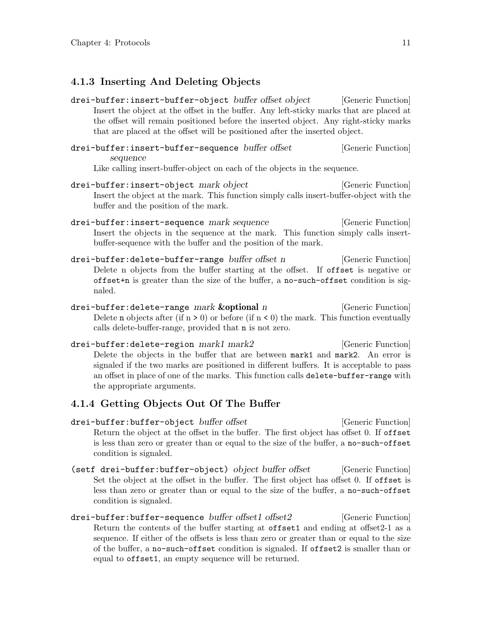### <span id="page-13-0"></span>4.1.3 Inserting And Deleting Objects

- drei-buffer:insert-buffer-object buffer offset object [Generic Function] Insert the object at the offset in the buffer. Any left-sticky marks that are placed at the offset will remain positioned before the inserted object. Any right-sticky marks that are placed at the offset will be positioned after the inserted object.
- drei-buffer:insert-buffer-sequence buffer offset [Generic Function] sequence

Like calling insert-buffer-object on each of the objects in the sequence.

- drei-buffer:insert-object mark object (Generic Function) Insert the object at the mark. This function simply calls insert-buffer-object with the buffer and the position of the mark.
- drei-buffer:insert-sequence mark sequence [Generic Function] Insert the objects in the sequence at the mark. This function simply calls insertbuffer-sequence with the buffer and the position of the mark.
- drei-buffer:delete-buffer-range buffer offset n [Generic Function] Delete n objects from the buffer starting at the offset. If offset is negative or offset+n is greater than the size of the buffer, a no-such-offset condition is signaled.
- $d$ rei-buffer:delete-range mark  $k$ optional n [Generic Function] Delete **n** objects after (if  $n > 0$ ) or before (if  $n < 0$ ) the mark. This function eventually calls delete-buffer-range, provided that n is not zero.
- drei-buffer:delete-region mark1 mark2 [Generic Function] Delete the objects in the buffer that are between mark1 and mark2. An error is signaled if the two marks are positioned in different buffers. It is acceptable to pass an offset in place of one of the marks. This function calls delete-buffer-range with the appropriate arguments.

### 4.1.4 Getting Objects Out Of The Buffer

- drei-buffer:buffer-object buffer offset [Generic Function] Return the object at the offset in the buffer. The first object has offset 0. If offset is less than zero or greater than or equal to the size of the buffer, a no-such-offset condition is signaled.
- (setf drei-buffer:buffer-object) object buffer offset [Generic Function] Set the object at the offset in the buffer. The first object has offset 0. If offset is less than zero or greater than or equal to the size of the buffer, a no-such-offset condition is signaled.
- drei-buffer:buffer-sequence buffer offset1 offset2 [Generic Function] Return the contents of the buffer starting at offset1 and ending at offset2-1 as a sequence. If either of the offsets is less than zero or greater than or equal to the size of the buffer, a no-such-offset condition is signaled. If offset2 is smaller than or equal to offset1, an empty sequence will be returned.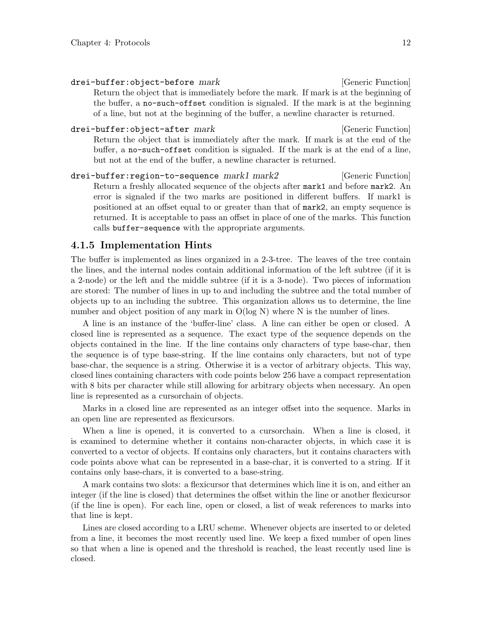<span id="page-14-0"></span>drei-buffer:object-before mark [Generic Function] Return the object that is immediately before the mark. If mark is at the beginning of the buffer, a no-such-offset condition is signaled. If the mark is at the beginning of a line, but not at the beginning of the buffer, a newline character is returned.

- drei-buffer:object-after mark [Generic Function] Return the object that is immediately after the mark. If mark is at the end of the buffer, a no-such-offset condition is signaled. If the mark is at the end of a line, but not at the end of the buffer, a newline character is returned.
- drei-buffer:region-to-sequence mark1 mark2 [Generic Function] Return a freshly allocated sequence of the objects after mark1 and before mark2. An error is signaled if the two marks are positioned in different buffers. If mark1 is positioned at an offset equal to or greater than that of mark2, an empty sequence is returned. It is acceptable to pass an offset in place of one of the marks. This function calls buffer-sequence with the appropriate arguments.

#### 4.1.5 Implementation Hints

The buffer is implemented as lines organized in a 2-3-tree. The leaves of the tree contain the lines, and the internal nodes contain additional information of the left subtree (if it is a 2-node) or the left and the middle subtree (if it is a 3-node). Two pieces of information are stored: The number of lines in up to and including the subtree and the total number of objects up to an including the subtree. This organization allows us to determine, the line number and object position of any mark in  $O(log N)$  where N is the number of lines.

A line is an instance of the 'buffer-line' class. A line can either be open or closed. A closed line is represented as a sequence. The exact type of the sequence depends on the objects contained in the line. If the line contains only characters of type base-char, then the sequence is of type base-string. If the line contains only characters, but not of type base-char, the sequence is a string. Otherwise it is a vector of arbitrary objects. This way, closed lines containing characters with code points below 256 have a compact representation with 8 bits per character while still allowing for arbitrary objects when necessary. An open line is represented as a cursorchain of objects.

Marks in a closed line are represented as an integer offset into the sequence. Marks in an open line are represented as flexicursors.

When a line is opened, it is converted to a cursorchain. When a line is closed, it is examined to determine whether it contains non-character objects, in which case it is converted to a vector of objects. If contains only characters, but it contains characters with code points above what can be represented in a base-char, it is converted to a string. If it contains only base-chars, it is converted to a base-string.

A mark contains two slots: a flexicursor that determines which line it is on, and either an integer (if the line is closed) that determines the offset within the line or another flexicursor (if the line is open). For each line, open or closed, a list of weak references to marks into that line is kept.

Lines are closed according to a LRU scheme. Whenever objects are inserted to or deleted from a line, it becomes the most recently used line. We keep a fixed number of open lines so that when a line is opened and the threshold is reached, the least recently used line is closed.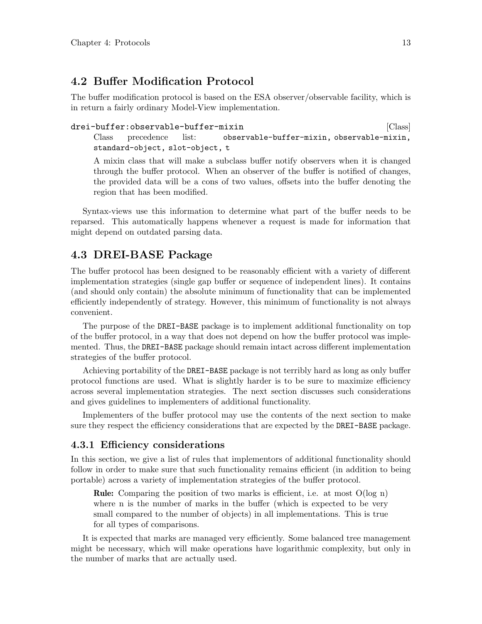### <span id="page-15-0"></span>4.2 Buffer Modification Protocol

The buffer modification protocol is based on the ESA observer/observable facility, which is in return a fairly ordinary Model-View implementation.

drei-buffer:observable-buffer-mixin in the control of the class of  $\lbrack Class \rbrack$ Class precedence list: observable-buffer-mixin, observable-mixin, standard-object, slot-object, t

A mixin class that will make a subclass buffer notify observers when it is changed through the buffer protocol. When an observer of the buffer is notified of changes, the provided data will be a cons of two values, offsets into the buffer denoting the region that has been modified.

Syntax-views use this information to determine what part of the buffer needs to be reparsed. This automatically happens whenever a request is made for information that might depend on outdated parsing data.

### 4.3 DREI-BASE Package

The buffer protocol has been designed to be reasonably efficient with a variety of different implementation strategies (single gap buffer or sequence of independent lines). It contains (and should only contain) the absolute minimum of functionality that can be implemented efficiently independently of strategy. However, this minimum of functionality is not always convenient.

The purpose of the DREI-BASE package is to implement additional functionality on top of the buffer protocol, in a way that does not depend on how the buffer protocol was implemented. Thus, the DREI-BASE package should remain intact across different implementation strategies of the buffer protocol.

Achieving portability of the DREI-BASE package is not terribly hard as long as only buffer protocol functions are used. What is slightly harder is to be sure to maximize efficiency across several implementation strategies. The next section discusses such considerations and gives guidelines to implementers of additional functionality.

Implementers of the buffer protocol may use the contents of the next section to make sure they respect the efficiency considerations that are expected by the DREI-BASE package.

#### 4.3.1 Efficiency considerations

In this section, we give a list of rules that implementors of additional functionality should follow in order to make sure that such functionality remains efficient (in addition to being portable) across a variety of implementation strategies of the buffer protocol.

Rule: Comparing the position of two marks is efficient, i.e. at most O(log n) where n is the number of marks in the buffer (which is expected to be very small compared to the number of objects) in all implementations. This is true for all types of comparisons.

It is expected that marks are managed very efficiently. Some balanced tree management might be necessary, which will make operations have logarithmic complexity, but only in the number of marks that are actually used.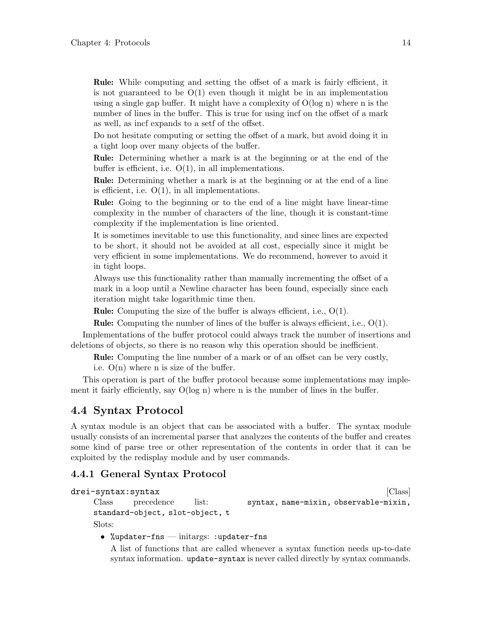<span id="page-16-0"></span>Rule: While computing and setting the offset of a mark is fairly efficient, it is not guaranteed to be  $O(1)$  even though it might be in an implementation using a single gap buffer. It might have a complexity of  $O(log n)$  where n is the number of lines in the buffer. This is true for using incf on the offset of a mark as well, as incf expands to a setf of the offset.

Do not hesitate computing or setting the offset of a mark, but avoid doing it in a tight loop over many objects of the buffer.

Rule: Determining whether a mark is at the beginning or at the end of the buffer is efficient, i.e.  $O(1)$ , in all implementations.

Rule: Determining whether a mark is at the beginning or at the end of a line is efficient, i.e.  $O(1)$ , in all implementations.

Rule: Going to the beginning or to the end of a line might have linear-time complexity in the number of characters of the line, though it is constant-time complexity if the implementation is line oriented.

It is sometimes inevitable to use this functionality, and since lines are expected to be short, it should not be avoided at all cost, especially since it might be very efficient in some implementations. We do recommend, however to avoid it in tight loops.

Always use this functionality rather than manually incrementing the offset of a mark in a loop until a Newline character has been found, especially since each iteration might take logarithmic time then.

Rule: Computing the size of the buffer is always efficient, i.e., O(1).

Rule: Computing the number of lines of the buffer is always efficient, i.e., O(1).

Implementations of the buffer protocol could always track the number of insertions and deletions of objects, so there is no reason why this operation should be inefficient.

Rule: Computing the line number of a mark or of an offset can be very costly,

i.e.  $O(n)$  where n is size of the buffer.

This operation is part of the buffer protocol because some implementations may implement it fairly efficiently, say O(log n) where n is the number of lines in the buffer.

#### 4.4 Syntax Protocol

A syntax module is an object that can be associated with a buffer. The syntax module usually consists of an incremental parser that analyzes the contents of the buffer and creates some kind of parse tree or other representation of the contents in order that it can be exploited by the redisplay module and by user commands.

### 4.4.1 General Syntax Protocol

drei-syntax:syntax international control of the control of  $\vert$ Class international control of  $\vert$ Class international control of the control of the control of the control of the control of the control of the control of the Class precedence list: syntax, name-mixin, observable-mixin, standard-object, slot-object, t Slots:

• %updater-fns — initargs: :updater-fns

A list of functions that are called whenever a syntax function needs up-to-date syntax information. update-syntax is never called directly by syntax commands.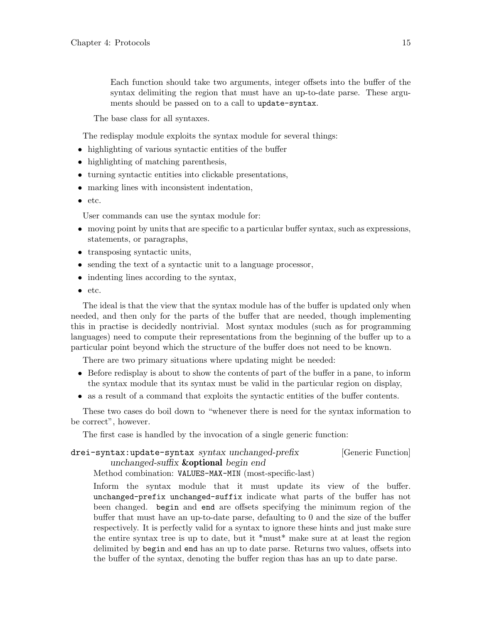<span id="page-17-0"></span>Each function should take two arguments, integer offsets into the buffer of the syntax delimiting the region that must have an up-to-date parse. These arguments should be passed on to a call to update-syntax.

The base class for all syntaxes.

The redisplay module exploits the syntax module for several things:

- highlighting of various syntactic entities of the buffer
- highlighting of matching parenthesis,
- turning syntactic entities into clickable presentations,
- marking lines with inconsistent indentation,
- etc.

User commands can use the syntax module for:

- moving point by units that are specific to a particular buffer syntax, such as expressions, statements, or paragraphs,
- transposing syntactic units,
- sending the text of a syntactic unit to a language processor,
- indenting lines according to the syntax,
- etc.

The ideal is that the view that the syntax module has of the buffer is updated only when needed, and then only for the parts of the buffer that are needed, though implementing this in practise is decidedly nontrivial. Most syntax modules (such as for programming languages) need to compute their representations from the beginning of the buffer up to a particular point beyond which the structure of the buffer does not need to be known.

There are two primary situations where updating might be needed:

- Before redisplay is about to show the contents of part of the buffer in a pane, to inform the syntax module that its syntax must be valid in the particular region on display,
- as a result of a command that exploits the syntactic entities of the buffer contents.

These two cases do boil down to "whenever there is need for the syntax information to be correct", however.

The first case is handled by the invocation of a single generic function:

drei-syntax:update-syntax syntax unchanged-prefix [Generic Function] unchanged-suffix **&optional** begin end

Method combination: VALUES-MAX-MIN (most-specific-last)

Inform the syntax module that it must update its view of the buffer. unchanged-prefix unchanged-suffix indicate what parts of the buffer has not been changed. begin and end are offsets specifying the minimum region of the buffer that must have an up-to-date parse, defaulting to 0 and the size of the buffer respectively. It is perfectly valid for a syntax to ignore these hints and just make sure the entire syntax tree is up to date, but it  $\kappa$  must  $\kappa$  make sure at at least the region delimited by begin and end has an up to date parse. Returns two values, offsets into the buffer of the syntax, denoting the buffer region thas has an up to date parse.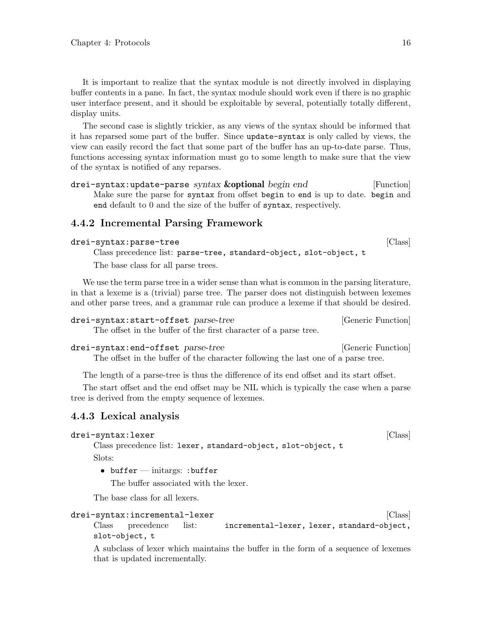<span id="page-18-0"></span>It is important to realize that the syntax module is not directly involved in displaying buffer contents in a pane. In fact, the syntax module should work even if there is no graphic user interface present, and it should be exploitable by several, potentially totally different, display units.

The second case is slightly trickier, as any views of the syntax should be informed that it has reparsed some part of the buffer. Since update-syntax is only called by views, the view can easily record the fact that some part of the buffer has an up-to-date parse. Thus, functions accessing syntax information must go to some length to make sure that the view of the syntax is notified of any reparses.

drei-syntax:update-parse syntax **&optional** begin end [Function] Make sure the parse for syntax from offset begin to end is up to date. begin and end default to 0 and the size of the buffer of syntax, respectively.

#### 4.4.2 Incremental Parsing Framework

| [Class]<br>drei-syntax:parse-tree |  |  |
|-----------------------------------|--|--|
|-----------------------------------|--|--|

Class precedence list: parse-tree, standard-object, slot-object, t The base class for all parse trees.

We use the term parse tree in a wider sense than what is common in the parsing literature, in that a lexeme is a (trivial) parse tree. The parser does not distinguish between lexemes and other parse trees, and a grammar rule can produce a lexeme if that should be desired.

```
drei-syntax:start-offset parse-tree [Generic Function]
```
The offset in the buffer of the first character of a parse tree.

```
drei-syntax:end-offset parse-tree [Generic Function]
    The offset in the buffer of the character following the last one of a parse tree.
```
The length of a parse-tree is thus the difference of its end offset and its start offset.

The start offset and the end offset may be NIL which is typically the case when a parse tree is derived from the empty sequence of lexemes.

#### 4.4.3 Lexical analysis

#### drei-syntax:lexer [Class]

Class precedence list: lexer, standard-object, slot-object, t

Slots:

• buffer — initargs: : buffer The buffer associated with the lexer.

The base class for all lexers.

#### drei-syntax:incremental-lexer intervalsed and states  $\vert$  Class  $\vert$

Class precedence list: incremental-lexer, lexer, standard-object, slot-object, t

A subclass of lexer which maintains the buffer in the form of a sequence of lexemes that is updated incrementally.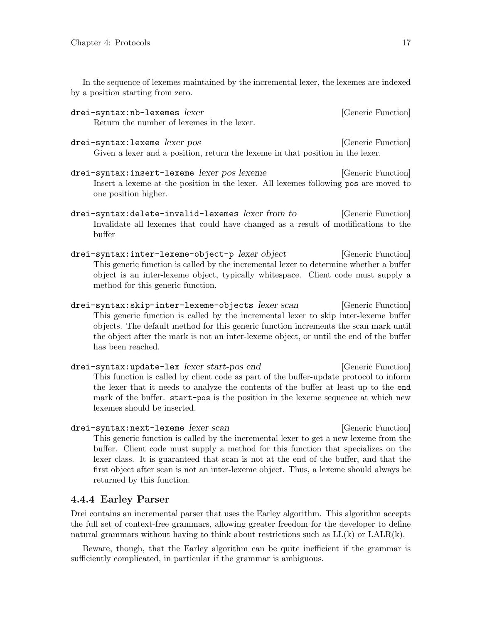<span id="page-19-0"></span>In the sequence of lexemes maintained by the incremental lexer, the lexemes are indexed by a position starting from zero.

- drei-syntax:nb-lexemes lexer intervalsed and series in the syntax:nb-lexemes lexer Return the number of lexemes in the lexer.
- drei-syntax:lexeme lexer pos [Generic Function] Given a lexer and a position, return the lexeme in that position in the lexer.
- drei-syntax:insert-lexeme lexer pos lexeme [Generic Function] Insert a lexeme at the position in the lexer. All lexemes following pos are moved to one position higher.
- drei-syntax:delete-invalid-lexemes lexer from to [Generic Function] Invalidate all lexemes that could have changed as a result of modifications to the buffer
- drei-syntax:inter-lexeme-object-p lexer object [Generic Function] This generic function is called by the incremental lexer to determine whether a buffer object is an inter-lexeme object, typically whitespace. Client code must supply a method for this generic function.
- drei-syntax:skip-inter-lexeme-objects lexer scan [Generic Function] This generic function is called by the incremental lexer to skip inter-lexeme buffer objects. The default method for this generic function increments the scan mark until the object after the mark is not an inter-lexeme object, or until the end of the buffer has been reached.
- drei-syntax:update-lex lexer start-pos end [Generic Function] This function is called by client code as part of the buffer-update protocol to inform the lexer that it needs to analyze the contents of the buffer at least up to the end mark of the buffer. start-pos is the position in the lexeme sequence at which new lexemes should be inserted.
- drei-syntax:next-lexeme lexer scan [Generic Function] This generic function is called by the incremental lexer to get a new lexeme from the buffer. Client code must supply a method for this function that specializes on the lexer class. It is guaranteed that scan is not at the end of the buffer, and that the first object after scan is not an inter-lexeme object. Thus, a lexeme should always be returned by this function.

#### 4.4.4 Earley Parser

Drei contains an incremental parser that uses the Earley algorithm. This algorithm accepts the full set of context-free grammars, allowing greater freedom for the developer to define natural grammars without having to think about restrictions such as  $LL(k)$  or  $LALR(k)$ .

Beware, though, that the Earley algorithm can be quite inefficient if the grammar is sufficiently complicated, in particular if the grammar is ambiguous.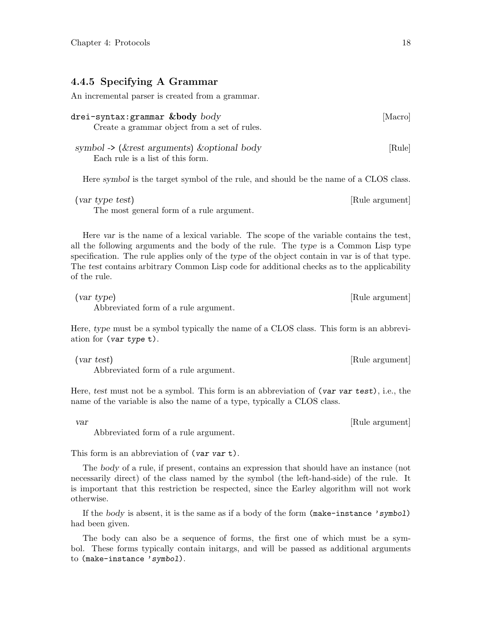#### <span id="page-20-0"></span>4.4.5 Specifying A Grammar

An incremental parser is created from a grammar.

| drei-syntax:grammar &body $body$<br>Create a grammar object from a set of rules.         | [Macro] |
|------------------------------------------------------------------------------------------|---------|
| symbol -> ( $\&$ rest arguments) $\&$ optional body<br>Each rule is a list of this form. | [Rule]  |

Here symbol is the target symbol of the rule, and should be the name of a CLOS class.

| (var type test)                           | [Rule argument] |
|-------------------------------------------|-----------------|
| The most general form of a rule argument. |                 |

Here var is the name of a lexical variable. The scope of the variable contains the test, all the following arguments and the body of the rule. The type is a Common Lisp type specification. The rule applies only of the type of the object contain in var is of that type. The test contains arbitrary Common Lisp code for additional checks as to the applicability of the rule.

(var type) [Rule argument] Abbreviated form of a rule argument.

Here, type must be a symbol typically the name of a CLOS class. This form is an abbreviation for (var type t).

(var test) [Rule argument] Abbreviated form of a rule argument.

Here, test must not be a symbol. This form is an abbreviation of (var var test), i.e., the name of the variable is also the name of a type, typically a CLOS class.

Abbreviated form of a rule argument.

This form is an abbreviation of (var var t).

The body of a rule, if present, contains an expression that should have an instance (not necessarily direct) of the class named by the symbol (the left-hand-side) of the rule. It is important that this restriction be respected, since the Earley algorithm will not work otherwise.

If the body is absent, it is the same as if a body of the form (make-instance 'symbol) had been given.

The body can also be a sequence of forms, the first one of which must be a symbol. These forms typically contain initargs, and will be passed as additional arguments to (make-instance 'symbol).

var [Rule argument]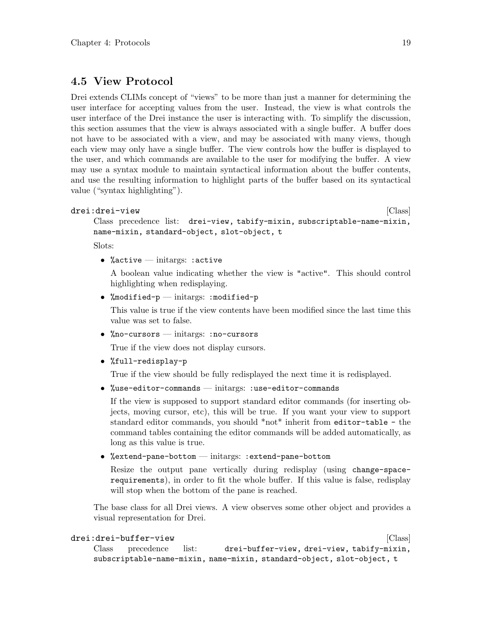### <span id="page-21-0"></span>4.5 View Protocol

Drei extends CLIMs concept of "views" to be more than just a manner for determining the user interface for accepting values from the user. Instead, the view is what controls the user interface of the Drei instance the user is interacting with. To simplify the discussion, this section assumes that the view is always associated with a single buffer. A buffer does not have to be associated with a view, and may be associated with many views, though each view may only have a single buffer. The view controls how the buffer is displayed to the user, and which commands are available to the user for modifying the buffer. A view may use a syntax module to maintain syntactical information about the buffer contents, and use the resulting information to highlight parts of the buffer based on its syntactical value ("syntax highlighting").

```
drei:drei-view [Class]
```
Class precedence list: drei-view, tabify-mixin, subscriptable-name-mixin, name-mixin, standard-object, slot-object, t

Slots:

• % active — initargs: : active

A boolean value indicating whether the view is "active". This should control highlighting when redisplaying.

• %modified- $p$  — initargs: :modified- $p$ 

This value is true if the view contents have been modified since the last time this value was set to false.

• %no-cursors — initargs: :no-cursors

True if the view does not display cursors.

• %full-redisplay-p

True if the view should be fully redisplayed the next time it is redisplayed.

• %use-editor-commands — initargs: :use-editor-commands

If the view is supposed to support standard editor commands (for inserting objects, moving cursor, etc), this will be true. If you want your view to support standard editor commands, you should \*not\* inherit from editor-table - the command tables containing the editor commands will be added automatically, as long as this value is true.

• %extend-pane-bottom — initargs: :extend-pane-bottom

Resize the output pane vertically during redisplay (using change-spacerequirements), in order to fit the whole buffer. If this value is false, redisplay will stop when the bottom of the pane is reached.

The base class for all Drei views. A view observes some other object and provides a visual representation for Drei.

#### drei:drei-buffer-view **burgerier (Class**) and the set of  $\vert$  (Class) and the set of  $\vert$  (Class) and the set of  $\vert$  (Class) and the set of  $\vert$  (Class) and the set of  $\vert$  (Class) and the set of  $\vert$  (Class) and the set Class precedence list: drei-buffer-view, drei-view, tabify-mixin, subscriptable-name-mixin, name-mixin, standard-object, slot-object, t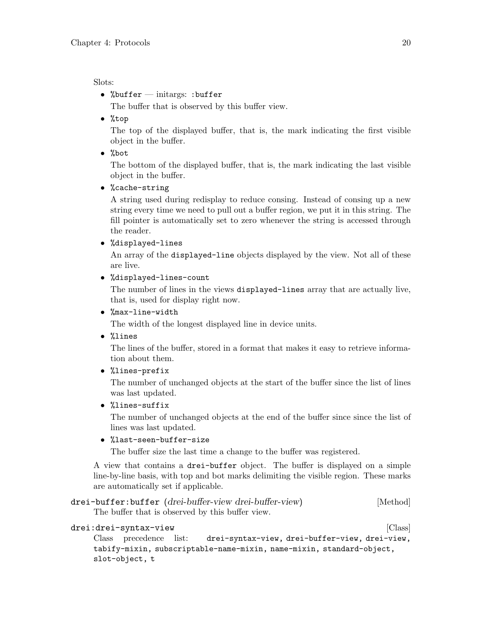#### <span id="page-22-0"></span>Slots:

• %buffer — initargs: :buffer

The buffer that is observed by this buffer view.

• %top

The top of the displayed buffer, that is, the mark indicating the first visible object in the buffer.

• %bot

The bottom of the displayed buffer, that is, the mark indicating the last visible object in the buffer.

• %cache-string

A string used during redisplay to reduce consing. Instead of consing up a new string every time we need to pull out a buffer region, we put it in this string. The fill pointer is automatically set to zero whenever the string is accessed through the reader.

• %displayed-lines

An array of the displayed-line objects displayed by the view. Not all of these are live.

• %displayed-lines-count

The number of lines in the views displayed-lines array that are actually live, that is, used for display right now.

• %max-line-width

The width of the longest displayed line in device units.

• %lines

The lines of the buffer, stored in a format that makes it easy to retrieve information about them.

• %lines-prefix

The number of unchanged objects at the start of the buffer since the list of lines was last updated.

• %lines-suffix

The number of unchanged objects at the end of the buffer since since the list of lines was last updated.

• %last-seen-buffer-size

The buffer size the last time a change to the buffer was registered.

A view that contains a drei-buffer object. The buffer is displayed on a simple line-by-line basis, with top and bot marks delimiting the visible region. These marks are automatically set if applicable.

```
drei-buffer:buffer (drei-buffer-view drei-buffer-view) [Method]
```
The buffer that is observed by this buffer view.

#### drei:drei-syntax-view [Class]

Class precedence list: drei-syntax-view, drei-buffer-view, drei-view, tabify-mixin, subscriptable-name-mixin, name-mixin, standard-object, slot-object, t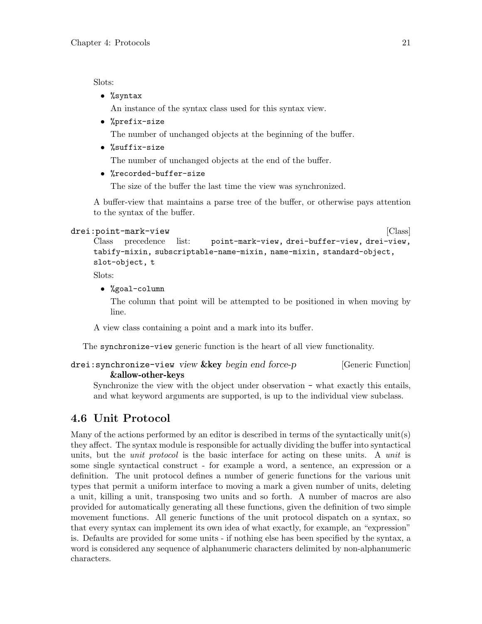<span id="page-23-0"></span>Slots:

• %syntax

An instance of the syntax class used for this syntax view.

• %prefix-size

The number of unchanged objects at the beginning of the buffer.

• %suffix-size

The number of unchanged objects at the end of the buffer.

• %recorded-buffer-size

The size of the buffer the last time the view was synchronized.

A buffer-view that maintains a parse tree of the buffer, or otherwise pays attention to the syntax of the buffer.

```
drei:point-mark-view [Class]
```

```
Class precedence list: point-mark-view, drei-buffer-view, drei-view,
tabify-mixin, subscriptable-name-mixin, name-mixin, standard-object,
slot-object, t
```
Slots:

• %goal-column

The column that point will be attempted to be positioned in when moving by line.

A view class containing a point and a mark into its buffer.

The synchronize-view generic function is the heart of all view functionality.

```
drei: synchronize-view view & key begin end force-p [Generic Function]
        &allow-other-keys
```
Synchronize the view with the object under observation - what exactly this entails, and what keyword arguments are supported, is up to the individual view subclass.

## <span id="page-23-1"></span>4.6 Unit Protocol

Many of the actions performed by an editor is described in terms of the syntactically unit(s) they affect. The syntax module is responsible for actually dividing the buffer into syntactical units, but the *unit protocol* is the basic interface for acting on these units. A *unit* is some single syntactical construct - for example a word, a sentence, an expression or a definition. The unit protocol defines a number of generic functions for the various unit types that permit a uniform interface to moving a mark a given number of units, deleting a unit, killing a unit, transposing two units and so forth. A number of macros are also provided for automatically generating all these functions, given the definition of two simple movement functions. All generic functions of the unit protocol dispatch on a syntax, so that every syntax can implement its own idea of what exactly, for example, an "expression" is. Defaults are provided for some units - if nothing else has been specified by the syntax, a word is considered any sequence of alphanumeric characters delimited by non-alphanumeric characters.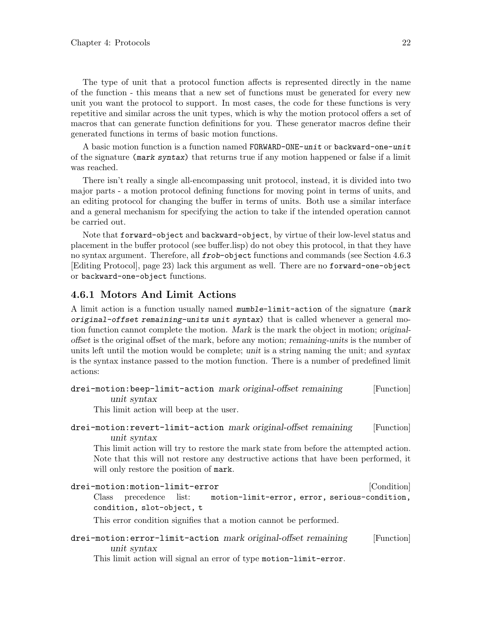<span id="page-24-0"></span>The type of unit that a protocol function affects is represented directly in the name of the function - this means that a new set of functions must be generated for every new unit you want the protocol to support. In most cases, the code for these functions is very repetitive and similar across the unit types, which is why the motion protocol offers a set of macros that can generate function definitions for you. These generator macros define their generated functions in terms of basic motion functions.

A basic motion function is a function named FORWARD-ONE-unit or backward-one-unit of the signature (mark syntax) that returns true if any motion happened or false if a limit was reached.

There isn't really a single all-encompassing unit protocol, instead, it is divided into two major parts - a motion protocol defining functions for moving point in terms of units, and an editing protocol for changing the buffer in terms of units. Both use a similar interface and a general mechanism for specifying the action to take if the intended operation cannot be carried out.

Note that forward-object and backward-object, by virtue of their low-level status and placement in the buffer protocol (see buffer.lisp) do not obey this protocol, in that they have no syntax argument. Therefore, all frob-object functions and commands (see [Section 4.6.3](#page-25-2)) [\[Editing Protocol\], page 23](#page-25-2)) lack this argument as well. There are no forward-one-object or backward-one-object functions.

#### 4.6.1 Motors And Limit Actions

A limit action is a function usually named mumble-limit-action of the signature (mark original-offset remaining-units unit syntax) that is called whenever a general motion function cannot complete the motion. Mark is the mark the object in motion; originaloffset is the original offset of the mark, before any motion; remaining-units is the number of units left until the motion would be complete; unit is a string naming the unit; and syntax is the syntax instance passed to the motion function. There is a number of predefined limit actions:

| drei-motion: beep-limit-action mark original-offset remaining | [Function] |
|---------------------------------------------------------------|------------|
| unit syntax                                                   |            |

This limit action will beep at the user.

```
drei-motion:revert-limit-action mark original-offset remaining [Function]
        unit syntax
```
This limit action will try to restore the mark state from before the attempted action. Note that this will not restore any destructive actions that have been performed, it will only restore the position of mark.

| drei-motion:motion-limit-error                                          | [Condition] |
|-------------------------------------------------------------------------|-------------|
| Class precedence list:<br>motion-limit-error, error, serious-condition, |             |
| condition, slot-object, t                                               |             |
| This error condition signifies that a motion cannot be performed.       |             |
| drei-motion: error-limit-action mark original-offset remaining          | [Function]  |

unit syntax

This limit action will signal an error of type motion-limit-error.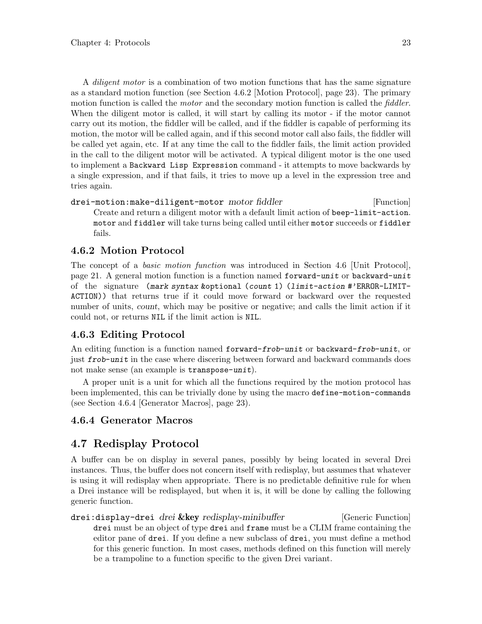<span id="page-25-0"></span>A diligent motor is a combination of two motion functions that has the same signature as a standard motion function (see [Section 4.6.2 \[Motion Protocol\], page 23\)](#page-25-3). The primary motion function is called the *motor* and the secondary motion function is called the *fiddler*. When the diligent motor is called, it will start by calling its motor - if the motor cannot carry out its motion, the fiddler will be called, and if the fiddler is capable of performing its motion, the motor will be called again, and if this second motor call also fails, the fiddler will be called yet again, etc. If at any time the call to the fiddler fails, the limit action provided in the call to the diligent motor will be activated. A typical diligent motor is the one used to implement a Backward Lisp Expression command - it attempts to move backwards by a single expression, and if that fails, it tries to move up a level in the expression tree and tries again.

```
drei-motion:make-diligent-motor motor fiddler [Function]
     Create and return a diligent motor with a default limit action of beep-limit-action.
     motor and fiddler will take turns being called until either motor succeeds or fiddler
     fails.
```
### <span id="page-25-3"></span>4.6.2 Motion Protocol

The concept of a basic motion function was introduced in [Section 4.6 \[Unit Protocol\],](#page-23-1) [page 21](#page-23-1). A general motion function is a function named forward-unit or backward-unit of the signature (mark syntax &optional (count 1) (limit-action #'ERROR-LIMIT-ACTION)) that returns true if it could move forward or backward over the requested number of units, count, which may be positive or negative; and calls the limit action if it could not, or returns NIL if the limit action is NIL.

### <span id="page-25-2"></span>4.6.3 Editing Protocol

An editing function is a function named forward-frob-unit or backward-frob-unit, or just frob-unit in the case where discering between forward and backward commands does not make sense (an example is transpose-unit).

A proper unit is a unit for which all the functions required by the motion protocol has been implemented, this can be trivially done by using the macro define-motion-commands (see [Section 4.6.4 \[Generator Macros\], page 23](#page-25-4)).

### <span id="page-25-4"></span>4.6.4 Generator Macros

## <span id="page-25-1"></span>4.7 Redisplay Protocol

A buffer can be on display in several panes, possibly by being located in several Drei instances. Thus, the buffer does not concern itself with redisplay, but assumes that whatever is using it will redisplay when appropriate. There is no predictable definitive rule for when a Drei instance will be redisplayed, but when it is, it will be done by calling the following generic function.

drei:display-drei drei &key redisplay-minibuffer [Generic Function] drei must be an object of type drei and frame must be a CLIM frame containing the editor pane of drei. If you define a new subclass of drei, you must define a method for this generic function. In most cases, methods defined on this function will merely be a trampoline to a function specific to the given Drei variant.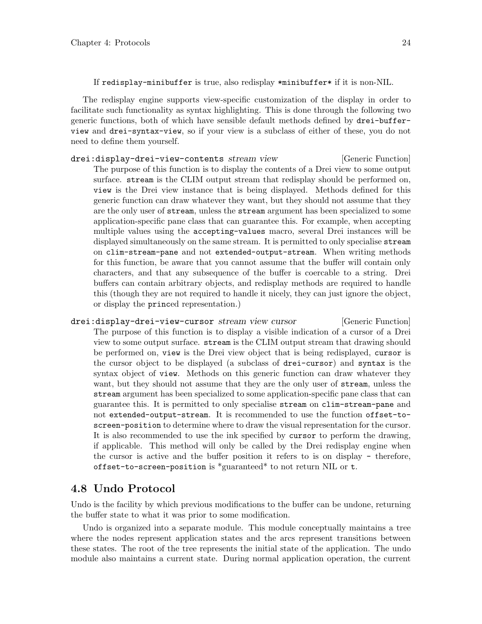<span id="page-26-0"></span>If redisplay-minibuffer is true, also redisplay \*minibuffer\* if it is non-NIL.

The redisplay engine supports view-specific customization of the display in order to facilitate such functionality as syntax highlighting. This is done through the following two generic functions, both of which have sensible default methods defined by drei-bufferview and drei-syntax-view, so if your view is a subclass of either of these, you do not need to define them yourself.

- drei:display-drei-view-contents stream view [Generic Function] The purpose of this function is to display the contents of a Drei view to some output surface. stream is the CLIM output stream that redisplay should be performed on, view is the Drei view instance that is being displayed. Methods defined for this generic function can draw whatever they want, but they should not assume that they are the only user of stream, unless the stream argument has been specialized to some application-specific pane class that can guarantee this. For example, when accepting multiple values using the accepting-values macro, several Drei instances will be displayed simultaneously on the same stream. It is permitted to only specialise stream on clim-stream-pane and not extended-output-stream. When writing methods for this function, be aware that you cannot assume that the buffer will contain only characters, and that any subsequence of the buffer is coercable to a string. Drei buffers can contain arbitrary objects, and redisplay methods are required to handle this (though they are not required to handle it nicely, they can just ignore the object, or display the princed representation.)
- drei:display-drei-view-cursor stream view cursor [Generic Function] The purpose of this function is to display a visible indication of a cursor of a Drei view to some output surface. stream is the CLIM output stream that drawing should be performed on, view is the Drei view object that is being redisplayed, cursor is the cursor object to be displayed (a subclass of drei-cursor) and syntax is the syntax object of view. Methods on this generic function can draw whatever they want, but they should not assume that they are the only user of stream, unless the stream argument has been specialized to some application-specific pane class that can guarantee this. It is permitted to only specialise stream on clim-stream-pane and not extended-output-stream. It is recommended to use the function offset-toscreen-position to determine where to draw the visual representation for the cursor. It is also recommended to use the ink specified by cursor to perform the drawing, if applicable. This method will only be called by the Drei redisplay engine when the cursor is active and the buffer position it refers to is on display - therefore, offset-to-screen-position is \*guaranteed\* to not return NIL or t.

### 4.8 Undo Protocol

Undo is the facility by which previous modifications to the buffer can be undone, returning the buffer state to what it was prior to some modification.

Undo is organized into a separate module. This module conceptually maintains a tree where the nodes represent application states and the arcs represent transitions between these states. The root of the tree represents the initial state of the application. The undo module also maintains a current state. During normal application operation, the current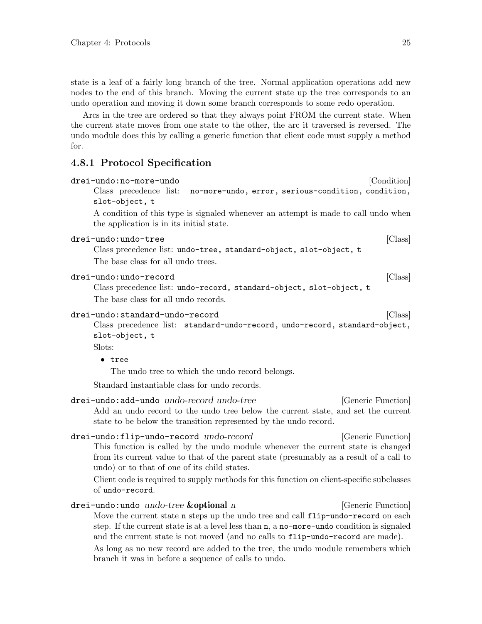<span id="page-27-0"></span>Arcs in the tree are ordered so that they always point FROM the current state. When the current state moves from one state to the other, the arc it traversed is reversed. The undo module does this by calling a generic function that client code must supply a method for.

#### 4.8.1 Protocol Specification

| drei-undo:no-more-undo                                                                                                         | [Condition] |
|--------------------------------------------------------------------------------------------------------------------------------|-------------|
| Class precedence list: no-more-undo, error, serious-condition, condition,<br>slot-object, t                                    |             |
| A condition of this type is signaled whenever an attempt is made to call undo when<br>the application is in its initial state. |             |
| drei-undo:undo-tree<br>Class precedence list: undo-tree, standard-object, slot-object, t<br>The base class for all undo trees. | [Class]     |

#### drei-undo:undo-record [Class]

Class precedence list: undo-record, standard-object, slot-object, t The base class for all undo records.

#### drei-undo:standard-undo-record [Class]

Class precedence list: standard-undo-record, undo-record, standard-object, slot-object, t

Slots:

#### • tree

The undo tree to which the undo record belongs.

Standard instantiable class for undo records.

```
drei-undo:add-undo undo-record undo-tree [Generic Function]
     Add an undo record to the undo tree below the current state, and set the current
     state to be below the transition represented by the undo record.
drei-undo:flip-undo-record undo-record (Generic Function)
     This function is called by the undo module whenever the current state is changed
     from its current value to that of the parent state (presumably as a result of a call to
     undo) or to that of one of its child states.
     Client code is required to supply methods for this function on client-specific subclasses
     of undo-record.
drei-undo:undo undo-tree &optional n [Generic Function]
```
Move the current state n steps up the undo tree and call flip-undo-record on each step. If the current state is at a level less than n, a no-more-undo condition is signaled and the current state is not moved (and no calls to flip-undo-record are made). As long as no new record are added to the tree, the undo module remembers which branch it was in before a sequence of calls to undo.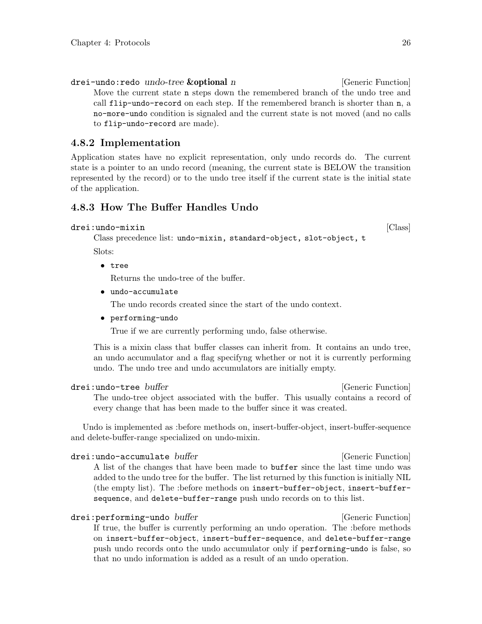<span id="page-28-0"></span>drei-undo:redo undo-tree **&optional** n [Generic Function] Move the current state n steps down the remembered branch of the undo tree and call flip-undo-record on each step. If the remembered branch is shorter than n, a no-more-undo condition is signaled and the current state is not moved (and no calls to flip-undo-record are made).

### 4.8.2 Implementation

Application states have no explicit representation, only undo records do. The current state is a pointer to an undo record (meaning, the current state is BELOW the transition represented by the record) or to the undo tree itself if the current state is the initial state of the application.

### 4.8.3 How The Buffer Handles Undo

```
drei:undo-mixin [Class]
```
Class precedence list: undo-mixin, standard-object, slot-object, t

Slots:

• tree

Returns the undo-tree of the buffer.

• undo-accumulate

The undo records created since the start of the undo context.

• performing-undo

True if we are currently performing undo, false otherwise.

This is a mixin class that buffer classes can inherit from. It contains an undo tree, an undo accumulator and a flag specifyng whether or not it is currently performing undo. The undo tree and undo accumulators are initially empty.

#### drei:undo-tree buffer is a controlled between the controlled properties in the controlled between  $[Generic Function]$

The undo-tree object associated with the buffer. This usually contains a record of every change that has been made to the buffer since it was created.

Undo is implemented as :before methods on, insert-buffer-object, insert-buffer-sequence and delete-buffer-range specialized on undo-mixin.

drei:undo-accumulate buffer is a controlled for the controlled of  $[Generic Function]$ A list of the changes that have been made to buffer since the last time undo was added to the undo tree for the buffer. The list returned by this function is initially NIL (the empty list). The :before methods on insert-buffer-object, insert-buffersequence, and delete-buffer-range push undo records on to this list.

drei:performing-undo buffer is a controlled to the controller intervals of  $[Generic Function]$ If true, the buffer is currently performing an undo operation. The :before methods on insert-buffer-object, insert-buffer-sequence, and delete-buffer-range push undo records onto the undo accumulator only if performing-undo is false, so that no undo information is added as a result of an undo operation.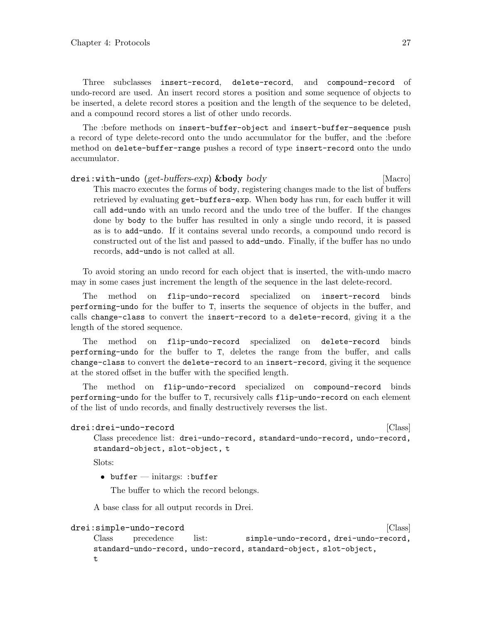<span id="page-29-0"></span>Three subclasses insert-record, delete-record, and compound-record of undo-record are used. An insert record stores a position and some sequence of objects to be inserted, a delete record stores a position and the length of the sequence to be deleted, and a compound record stores a list of other undo records.

The :before methods on insert-buffer-object and insert-buffer-sequence push a record of type delete-record onto the undo accumulator for the buffer, and the :before method on delete-buffer-range pushes a record of type insert-record onto the undo accumulator.

drei:with-undo (get-buffers-exp) &body body [Macro] This macro executes the forms of body, registering changes made to the list of buffers retrieved by evaluating get-buffers-exp. When body has run, for each buffer it will call add-undo with an undo record and the undo tree of the buffer. If the changes done by body to the buffer has resulted in only a single undo record, it is passed as is to add-undo. If it contains several undo records, a compound undo record is constructed out of the list and passed to add-undo. Finally, if the buffer has no undo records, add-undo is not called at all.

To avoid storing an undo record for each object that is inserted, the with-undo macro may in some cases just increment the length of the sequence in the last delete-record.

The method on flip-undo-record specialized on insert-record binds performing-undo for the buffer to T, inserts the sequence of objects in the buffer, and calls change-class to convert the insert-record to a delete-record, giving it a the length of the stored sequence.

The method on flip-undo-record specialized on delete-record binds performing-undo for the buffer to T, deletes the range from the buffer, and calls change-class to convert the delete-record to an insert-record, giving it the sequence at the stored offset in the buffer with the specified length.

The method on flip-undo-record specialized on compound-record binds performing-undo for the buffer to T, recursively calls flip-undo-record on each element of the list of undo records, and finally destructively reverses the list.

```
drei:drei-undo-record [Class]
```
Class precedence list: drei-undo-record, standard-undo-record, undo-record, standard-object, slot-object, t

Slots:

• buffer — initargs: :buffer

The buffer to which the record belongs.

A base class for all output records in Drei.

#### drei:simple-undo-record [Class]

Class precedence list: simple-undo-record, drei-undo-record, standard-undo-record, undo-record, standard-object, slot-object,  $\pm$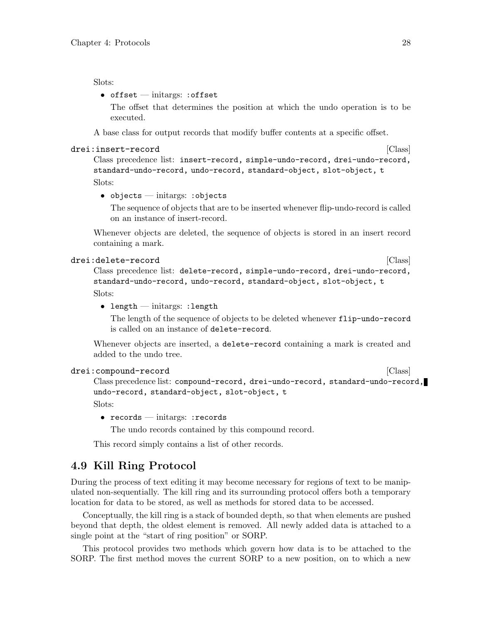#### <span id="page-30-0"></span>Slots:

#### • offset — initargs: :offset

The offset that determines the position at which the undo operation is to be executed.

A base class for output records that modify buffer contents at a specific offset.

#### drei:insert-record [Class]

Class precedence list: insert-record, simple-undo-record, drei-undo-record, standard-undo-record, undo-record, standard-object, slot-object, t Slots:

• objects — initargs: :objects

The sequence of objects that are to be inserted whenever flip-undo-record is called on an instance of insert-record.

Whenever objects are deleted, the sequence of objects is stored in an insert record containing a mark.

#### drei:delete-record [Class]

Class precedence list: delete-record, simple-undo-record, drei-undo-record, standard-undo-record, undo-record, standard-object, slot-object, t Slots:

• length — initargs: :length

The length of the sequence of objects to be deleted whenever flip-undo-record is called on an instance of delete-record.

Whenever objects are inserted, a delete-record containing a mark is created and added to the undo tree.

```
drei:compound-record [Class]
```

```
Class precedence list: compound-record, drei-undo-record, standard-undo-record,
undo-record, standard-object, slot-object, t
Slots:
```
• records — initargs: : records

The undo records contained by this compound record.

This record simply contains a list of other records.

### 4.9 Kill Ring Protocol

During the process of text editing it may become necessary for regions of text to be manipulated non-sequentially. The kill ring and its surrounding protocol offers both a temporary location for data to be stored, as well as methods for stored data to be accessed.

Conceptually, the kill ring is a stack of bounded depth, so that when elements are pushed beyond that depth, the oldest element is removed. All newly added data is attached to a single point at the "start of ring position" or SORP.

This protocol provides two methods which govern how data is to be attached to the SORP. The first method moves the current SORP to a new position, on to which a new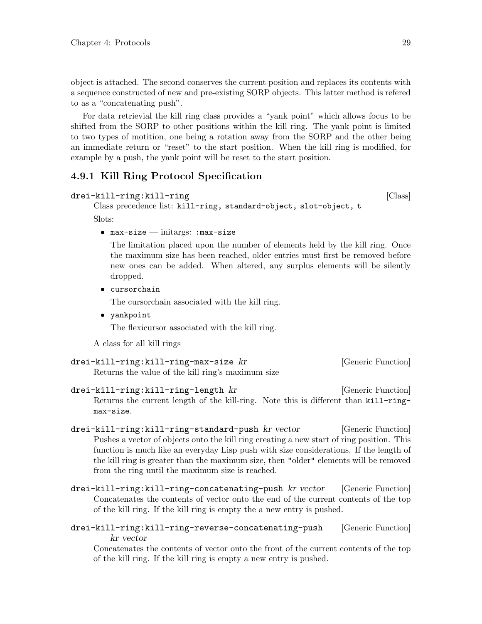<span id="page-31-0"></span>object is attached. The second conserves the current position and replaces its contents with a sequence constructed of new and pre-existing SORP objects. This latter method is refered to as a "concatenating push".

For data retrievial the kill ring class provides a "yank point" which allows focus to be shifted from the SORP to other positions within the kill ring. The yank point is limited to two types of motition, one being a rotation away from the SORP and the other being an immediate return or "reset" to the start position. When the kill ring is modified, for example by a push, the yank point will be reset to the start position.

### 4.9.1 Kill Ring Protocol Specification

```
drei-kill-ring:kill-ring die besteht is a state of the control of the control of the control of the control of the control of the control of the control of the control of the control of the control of the control of the co
```

```
Class precedence list: kill-ring, standard-object, slot-object, t
```
Slots:

•  $max-size - unitargs: max-size -$ 

The limitation placed upon the number of elements held by the kill ring. Once the maximum size has been reached, older entries must first be removed before new ones can be added. When altered, any surplus elements will be silently dropped.

• cursorchain

The cursorchain associated with the kill ring.

• yankpoint

The flexicursor associated with the kill ring.

A class for all kill rings

```
drei-kill-ring:kill-ring-max-size kr [Generic Function]
    Returns the value of the kill ring's maximum size
```
drei-kill-ring:kill-ring-length kr [Generic Function] Returns the current length of the kill-ring. Note this is different than kill-ringmax-size.

- drei-kill-ring:kill-ring-standard-push kr vector [Generic Function] Pushes a vector of objects onto the kill ring creating a new start of ring position. This function is much like an everyday Lisp push with size considerations. If the length of the kill ring is greater than the maximum size, then "older" elements will be removed from the ring until the maximum size is reached.
- drei-kill-ring:kill-ring-concatenating-push kr vector [Generic Function] Concatenates the contents of vector onto the end of the current contents of the top of the kill ring. If the kill ring is empty the a new entry is pushed.
- drei-kill-ring:kill-ring-reverse-concatenating-push [Generic Function] kr vector

Concatenates the contents of vector onto the front of the current contents of the top of the kill ring. If the kill ring is empty a new entry is pushed.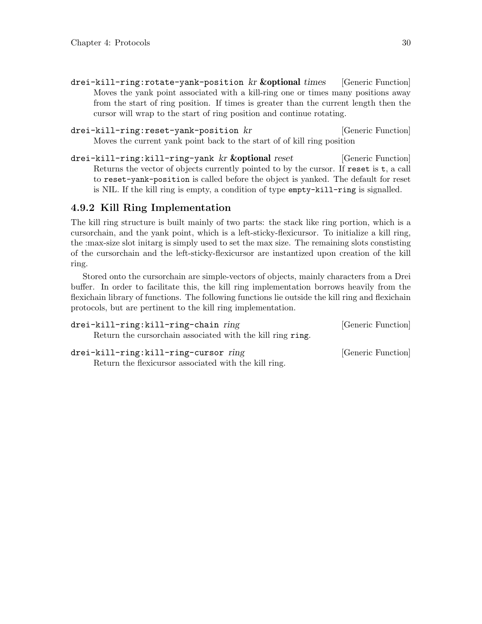- <span id="page-32-0"></span>drei-kill-ring:rotate-yank-position kr &optional times [Generic Function] Moves the yank point associated with a kill-ring one or times many positions away from the start of ring position. If times is greater than the current length then the cursor will wrap to the start of ring position and continue rotating.
- drei-kill-ring:reset-yank-position kr [Generic Function] Moves the current yank point back to the start of of kill ring position
- drei-kill-ring:kill-ring-yank kr &optional reset [Generic Function] Returns the vector of objects currently pointed to by the cursor. If reset is t, a call to reset-yank-position is called before the object is yanked. The default for reset is NIL. If the kill ring is empty, a condition of type empty-kill-ring is signalled.

### 4.9.2 Kill Ring Implementation

The kill ring structure is built mainly of two parts: the stack like ring portion, which is a cursorchain, and the yank point, which is a left-sticky-flexicursor. To initialize a kill ring, the :max-size slot initarg is simply used to set the max size. The remaining slots constisting of the cursorchain and the left-sticky-flexicursor are instantized upon creation of the kill ring.

Stored onto the cursorchain are simple-vectors of objects, mainly characters from a Drei buffer. In order to facilitate this, the kill ring implementation borrows heavily from the flexichain library of functions. The following functions lie outside the kill ring and flexichain protocols, but are pertinent to the kill ring implementation.

| drei-kill-ring:kill-ring-chain ring                         | [Generic Function] |
|-------------------------------------------------------------|--------------------|
| Return the cursor chain associated with the kill ring ring. |                    |
| drei-kill-ring:kill-ring-cursor ring                        | [Generic Function] |
| Return the flexicurs or associated with the kill ring.      |                    |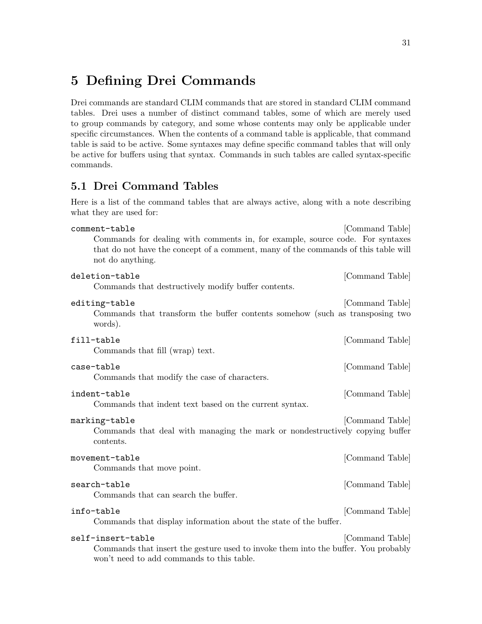# <span id="page-33-0"></span>5 Defining Drei Commands

Drei commands are standard CLIM commands that are stored in standard CLIM command tables. Drei uses a number of distinct command tables, some of which are merely used to group commands by category, and some whose contents may only be applicable under specific circumstances. When the contents of a command table is applicable, that command table is said to be active. Some syntaxes may define specific command tables that will only be active for buffers using that syntax. Commands in such tables are called syntax-specific commands.

### 5.1 Drei Command Tables

Here is a list of the command tables that are always active, along with a note describing what they are used for:

| comment-table                                                                                                                                                                           | [Command Table] |
|-----------------------------------------------------------------------------------------------------------------------------------------------------------------------------------------|-----------------|
| Commands for dealing with comments in, for example, source code. For syntaxes<br>that do not have the concept of a comment, many of the commands of this table will<br>not do anything. |                 |
| deletion-table<br>Commands that destructively modify buffer contents.                                                                                                                   | [Command Table] |
| editing-table<br>Commands that transform the buffer contents somehow (such as transposing two<br>words).                                                                                | [Command Table] |
| fill-table<br>Commands that fill (wrap) text.                                                                                                                                           | [Command Table] |
| case-table<br>Commands that modify the case of characters.                                                                                                                              | [Command Table] |
| indent-table<br>Commands that indent text based on the current syntax.                                                                                                                  | [Command Table] |
| marking-table<br>Commands that deal with managing the mark or nondestructively copying buffer<br>contents.                                                                              | [Command Table] |
| movement-table<br>Commands that move point.                                                                                                                                             | [Command Table] |
| search-table<br>Commands that can search the buffer.                                                                                                                                    | [Command Table] |
| info-table<br>Commands that display information about the state of the buffer.                                                                                                          | [Command Table] |
| self-insert-table<br>Commands that insert the gesture used to invoke them into the buffer. You probably<br>won't need to add commands to this table.                                    | [Command Table] |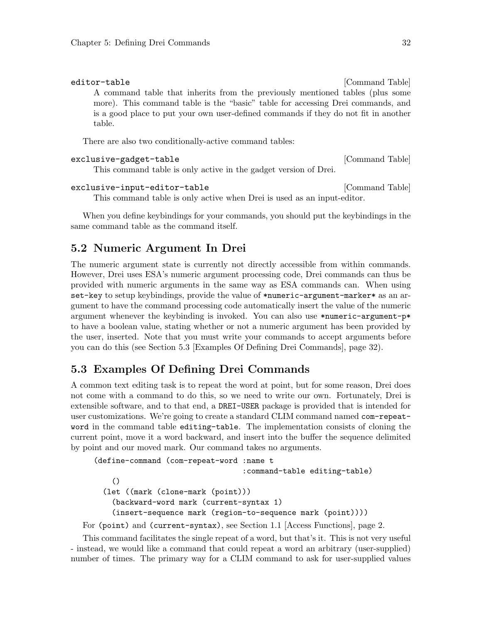#### <span id="page-34-0"></span>editor-table [Command Table]

A command table that inherits from the previously mentioned tables (plus some more). This command table is the "basic" table for accessing Drei commands, and is a good place to put your own user-defined commands if they do not fit in another table.

There are also two conditionally-active command tables:

#### exclusive-gadget-table  $[{\rm Command~Table}]$

This command table is only active in the gadget version of Drei.

#### exclusive-input-editor-table [Command Table]

This command table is only active when Drei is used as an input-editor.

When you define keybindings for your commands, you should put the keybindings in the same command table as the command itself.

### 5.2 Numeric Argument In Drei

The numeric argument state is currently not directly accessible from within commands. However, Drei uses ESA's numeric argument processing code, Drei commands can thus be provided with numeric arguments in the same way as ESA commands can. When using set-key to setup keybindings, provide the value of \*numeric-argument-marker\* as an argument to have the command processing code automatically insert the value of the numeric argument whenever the keybinding is invoked. You can also use \*numeric-argument-p\* to have a boolean value, stating whether or not a numeric argument has been provided by the user, inserted. Note that you must write your commands to accept arguments before you can do this (see [Section 5.3 \[Examples Of Defining Drei Commands\], page 32\)](#page-34-1).

### <span id="page-34-1"></span>5.3 Examples Of Defining Drei Commands

A common text editing task is to repeat the word at point, but for some reason, Drei does not come with a command to do this, so we need to write our own. Fortunately, Drei is extensible software, and to that end, a DREI-USER package is provided that is intended for user customizations. We're going to create a standard CLIM command named com-repeatword in the command table editing-table. The implementation consists of cloning the current point, move it a word backward, and insert into the buffer the sequence delimited by point and our moved mark. Our command takes no arguments.

```
(define-command (com-repeat-word :name t
                                     :command-table editing-table)
       ()
     (let ((mark (clone-mark (point)))
       (backward-word mark (current-syntax 1)
       (insert-sequence mark (region-to-sequence mark (point))))
For (point) and (current-syntax), see Section 1.1 [Access Functions], page 2.
```
This command facilitates the single repeat of a word, but that's it. This is not very useful - instead, we would like a command that could repeat a word an arbitrary (user-supplied)

number of times. The primary way for a CLIM command to ask for user-supplied values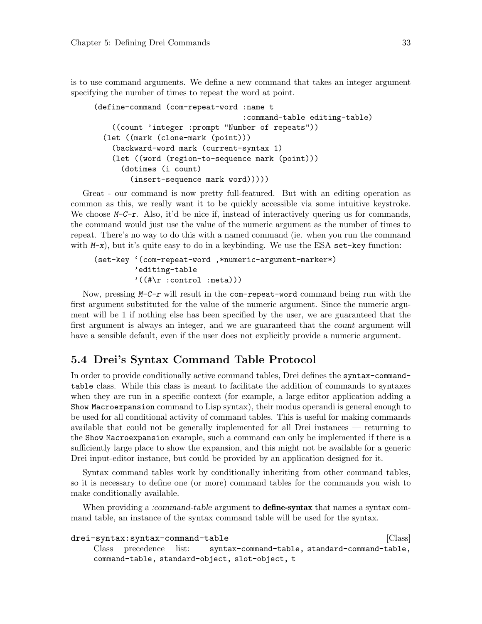<span id="page-35-0"></span>is to use command arguments. We define a new command that takes an integer argument specifying the number of times to repeat the word at point.

```
(define-command (com-repeat-word :name t
                                 :command-table editing-table)
    ((count 'integer :prompt "Number of repeats"))
  (let ((mark (clone-mark (point)))
    (backward-word mark (current-syntax 1)
    (let ((word (region-to-sequence mark (point)))
      (dotimes (i count)
        (insert-sequence mark word)))))
```
Great - our command is now pretty full-featured. But with an editing operation as common as this, we really want it to be quickly accessible via some intuitive keystroke. We choose  $M-C-r$ . Also, it'd be nice if, instead of interactively quering us for commands, the command would just use the value of the numeric argument as the number of times to repeat. There's no way to do this with a named command (ie. when you run the command with  $M-x$ ), but it's quite easy to do in a keybinding. We use the ESA set-key function:

```
(set-key '(com-repeat-word ,*numeric-argument-marker*)
         'editing-table
         '((\# \r : \text{control :=})))
```
Now, pressing  $M-C-r$  will result in the com-repeat-word command being run with the first argument substituted for the value of the numeric argument. Since the numeric argument will be 1 if nothing else has been specified by the user, we are guaranteed that the first argument is always an integer, and we are guaranteed that the count argument will have a sensible default, even if the user does not explicitly provide a numeric argument.

## 5.4 Drei's Syntax Command Table Protocol

In order to provide conditionally active command tables, Drei defines the syntax-commandtable class. While this class is meant to facilitate the addition of commands to syntaxes when they are run in a specific context (for example, a large editor application adding a Show Macroexpansion command to Lisp syntax), their modus operandi is general enough to be used for all conditional activity of command tables. This is useful for making commands available that could not be generally implemented for all Drei instances — returning to the Show Macroexpansion example, such a command can only be implemented if there is a sufficiently large place to show the expansion, and this might not be available for a generic Drei input-editor instance, but could be provided by an application designed for it.

Syntax command tables work by conditionally inheriting from other command tables, so it is necessary to define one (or more) command tables for the commands you wish to make conditionally available.

When providing a :command-table argument to **define-syntax** that names a syntax command table, an instance of the syntax command table will be used for the syntax.

```
drei-syntax:syntax-command-table intervalsed and solution \lbrack Class \rbrackClass precedence list: syntax-command-table, standard-command-table,
     command-table, standard-object, slot-object, t
```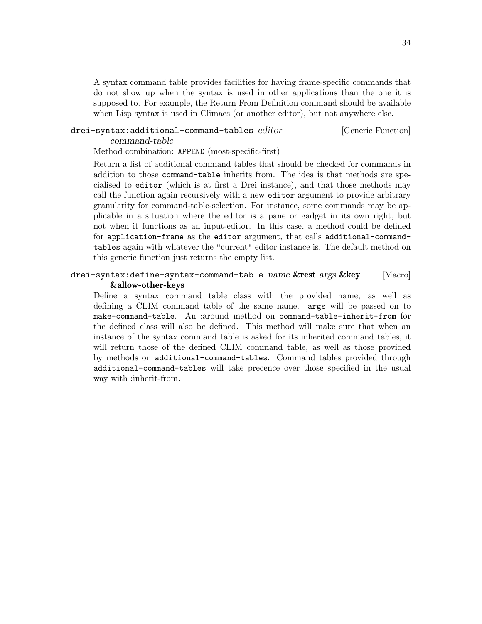<span id="page-36-0"></span>A syntax command table provides facilities for having frame-specific commands that do not show up when the syntax is used in other applications than the one it is supposed to. For example, the Return From Definition command should be available when Lisp syntax is used in Climacs (or another editor), but not anywhere else.

#### drei-syntax:additional-command-tables editor [Generic Function] command-table

Method combination: APPEND (most-specific-first)

Return a list of additional command tables that should be checked for commands in addition to those command-table inherits from. The idea is that methods are specialised to editor (which is at first a Drei instance), and that those methods may call the function again recursively with a new editor argument to provide arbitrary granularity for command-table-selection. For instance, some commands may be applicable in a situation where the editor is a pane or gadget in its own right, but not when it functions as an input-editor. In this case, a method could be defined for application-frame as the editor argument, that calls additional-commandtables again with whatever the "current" editor instance is. The default method on this generic function just returns the empty list.

#### drei-syntax:define-syntax-command-table name &rest args &key [Macro] &allow-other-keys

Define a syntax command table class with the provided name, as well as defining a CLIM command table of the same name. args will be passed on to make-command-table. An :around method on command-table-inherit-from for the defined class will also be defined. This method will make sure that when an instance of the syntax command table is asked for its inherited command tables, it will return those of the defined CLIM command table, as well as those provided by methods on additional-command-tables. Command tables provided through additional-command-tables will take precence over those specified in the usual way with :inherit-from.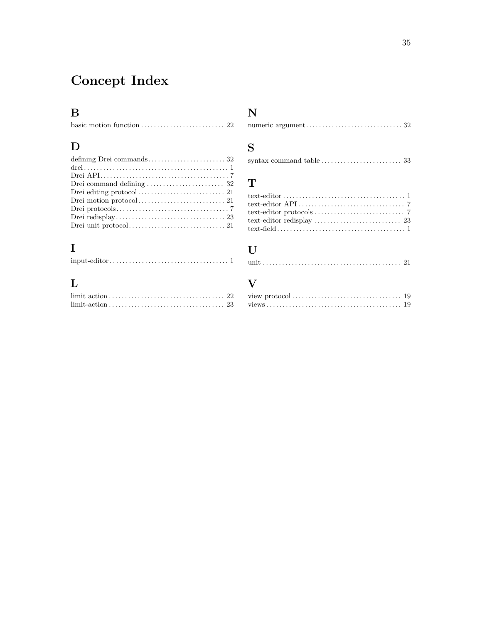# <span id="page-37-0"></span>Concept Index

# B

# D

| Drei command defining $\ldots \ldots \ldots \ldots \ldots \ldots \ldots$ 32 |
|-----------------------------------------------------------------------------|
|                                                                             |
|                                                                             |
|                                                                             |
|                                                                             |
|                                                                             |
|                                                                             |

# I

# L

# N

|--|--|--|

# S

# T

# $\mathbf U$

|--|--|

# V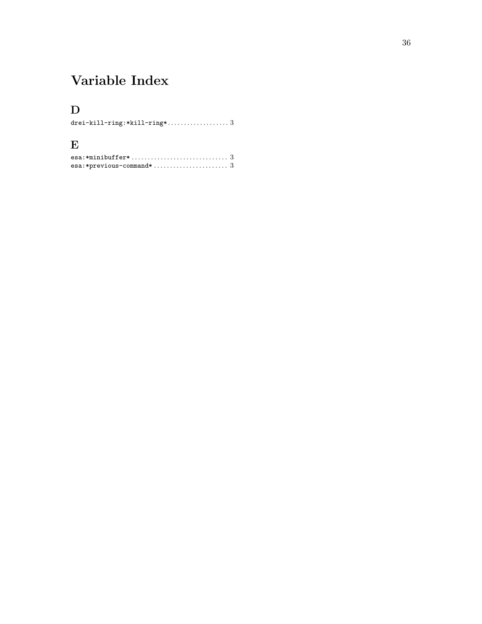# <span id="page-38-0"></span>Variable Index

# D

| drei-kill-ring:*kill-ring*3 |  |  |
|-----------------------------|--|--|

# E

| esa:*minibuffer* $\ldots \ldots \ldots \ldots \ldots \ldots \ldots \ldots \ldots \: 3$ |  |
|----------------------------------------------------------------------------------------|--|
| esa:*previous-command* $3$                                                             |  |